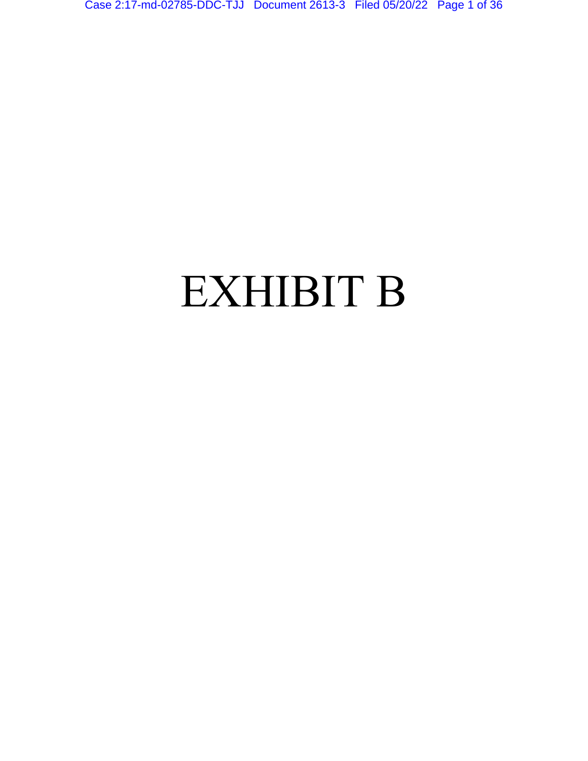Case 2:17-md-02785-DDC-TJJ Document 2613-3 Filed 05/20/22 Page 1 of 36

# EXHIBIT B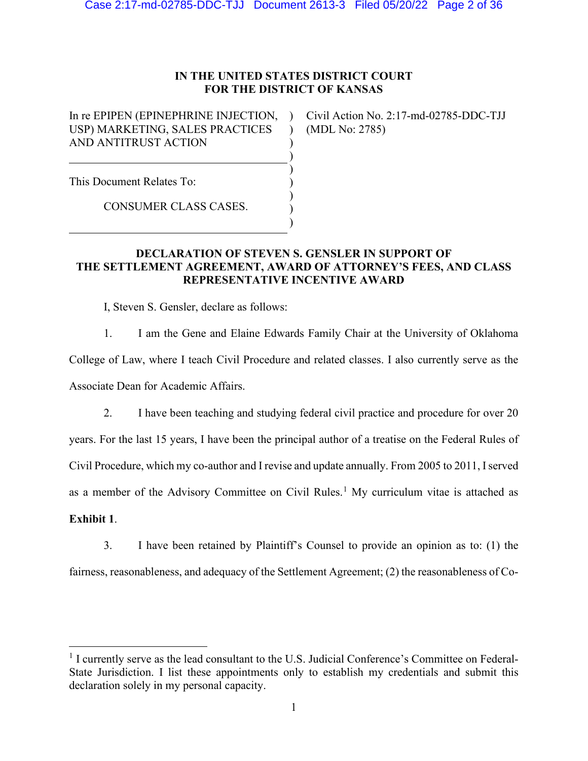# **IN THE UNITED STATES DISTRICT COURT FOR THE DISTRICT OF KANSAS**

 $\lambda$  $\lambda$ ) ) ) ) ) ) )

In re EPIPEN (EPINEPHRINE INJECTION, USP) MARKETING, SALES PRACTICES AND ANTITRUST ACTION

Civil Action No. 2:17-md-02785-DDC-TJJ (MDL No: 2785)

This Document Relates To:

CONSUMER CLASS CASES.

# **DECLARATION OF STEVEN S. GENSLER IN SUPPORT OF THE SETTLEMENT AGREEMENT, AWARD OF ATTORNEY'S FEES, AND CLASS REPRESENTATIVE INCENTIVE AWARD**

I, Steven S. Gensler, declare as follows:

1. I am the Gene and Elaine Edwards Family Chair at the University of Oklahoma

College of Law, where I teach Civil Procedure and related classes. I also currently serve as the Associate Dean for Academic Affairs.

2. I have been teaching and studying federal civil practice and procedure for over 20

years. For the last 15 years, I have been the principal author of a treatise on the Federal Rules of

Civil Procedure, which my co-author and I revise and update annually. From 2005 to 2011, I served

as a member of the Advisory Committee on Civil Rules.<sup>1</sup> My curriculum vitae is attached as

# **Exhibit 1**.

3. I have been retained by Plaintiff's Counsel to provide an opinion as to: (1) the

fairness, reasonableness, and adequacy of the Settlement Agreement; (2) the reasonableness of Co-

<sup>&</sup>lt;sup>1</sup> I currently serve as the lead consultant to the U.S. Judicial Conference's Committee on Federal-State Jurisdiction. I list these appointments only to establish my credentials and submit this declaration solely in my personal capacity.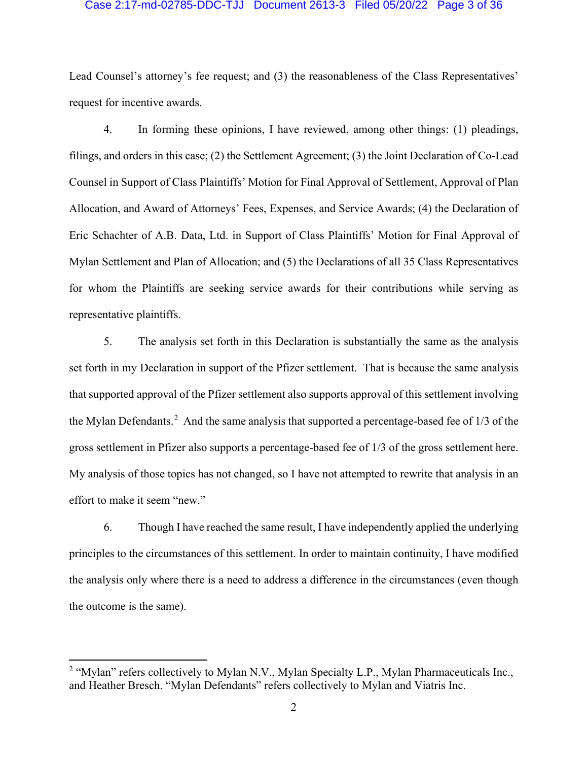# Case 2:17-md-02785-DDC-TJJ Document 2613-3 Filed 05/20/22 Page 3 of 36

Lead Counsel's attorney's fee request; and (3) the reasonableness of the Class Representatives' request for incentive awards.

4. In forming these opinions, I have reviewed, among other things: (1) pleadings, filings, and orders in this case; (2) the Settlement Agreement; (3) the Joint Declaration of Co-Lead Counsel in Support of Class Plaintiffs' Motion for Final Approval of Settlement, Approval of Plan Allocation, and Award of Attorneys' Fees, Expenses, and Service Awards; (4) the Declaration of Eric Schachter of A.B. Data, Ltd. in Support of Class Plaintiffs' Motion for Final Approval of Mylan Settlement and Plan of Allocation; and (5) the Declarations of all 35 Class Representatives for whom the Plaintiffs are seeking service awards for their contributions while serving as representative plaintiffs.

5. The analysis set forth in this Declaration is substantially the same as the analysis set forth in my Declaration in support of the Pfizer settlement. That is because the same analysis that supported approval of the Pfizer settlement also supports approval of this settlement involving the Mylan Defendants.<sup>2</sup> And the same analysis that supported a percentage-based fee of 1/3 of the gross settlement in Pfizer also supports a percentage-based fee of 1/3 of the gross settlement here. My analysis of those topics has not changed, so I have not attempted to rewrite that analysis in an effort to make it seem "new."

6. Though I have reached the same result, I have independently applied the underlying principles to the circumstances of this settlement. In order to maintain continuity, I have modified the analysis only where there is a need to address a difference in the circumstances (even though the outcome is the same).

<sup>&</sup>lt;sup>2</sup> "Mylan" refers collectively to Mylan N.V., Mylan Specialty L.P., Mylan Pharmaceuticals Inc., and Heather Bresch. "Mylan Defendants" refers collectively to Mylan and Viatris Inc.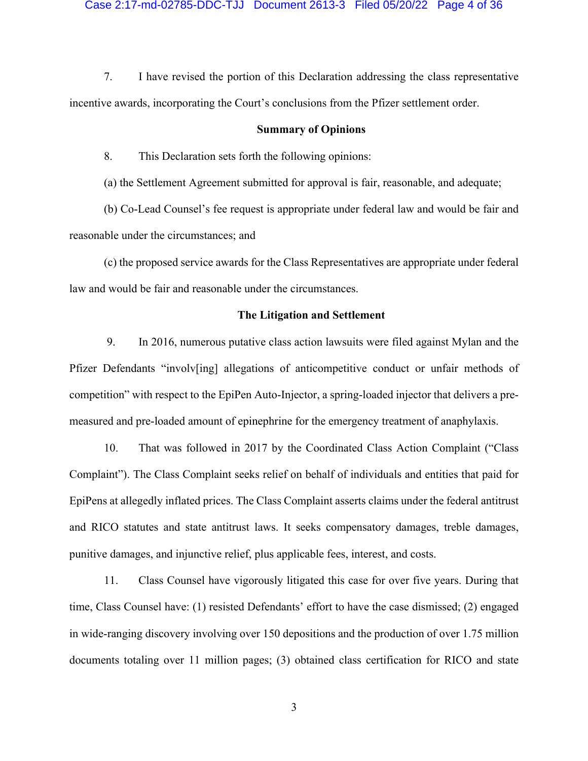### Case 2:17-md-02785-DDC-TJJ Document 2613-3 Filed 05/20/22 Page 4 of 36

7. I have revised the portion of this Declaration addressing the class representative incentive awards, incorporating the Court's conclusions from the Pfizer settlement order.

# **Summary of Opinions**

8. This Declaration sets forth the following opinions:

(a) the Settlement Agreement submitted for approval is fair, reasonable, and adequate;

(b) Co-Lead Counsel's fee request is appropriate under federal law and would be fair and reasonable under the circumstances; and

(c) the proposed service awards for the Class Representatives are appropriate under federal law and would be fair and reasonable under the circumstances.

# **The Litigation and Settlement**

9. In 2016, numerous putative class action lawsuits were filed against Mylan and the Pfizer Defendants "involv[ing] allegations of anticompetitive conduct or unfair methods of competition" with respect to the EpiPen Auto-Injector, a spring-loaded injector that delivers a premeasured and pre-loaded amount of epinephrine for the emergency treatment of anaphylaxis.

10. That was followed in 2017 by the Coordinated Class Action Complaint ("Class Complaint"). The Class Complaint seeks relief on behalf of individuals and entities that paid for EpiPens at allegedly inflated prices. The Class Complaint asserts claims under the federal antitrust and RICO statutes and state antitrust laws. It seeks compensatory damages, treble damages, punitive damages, and injunctive relief, plus applicable fees, interest, and costs.

11. Class Counsel have vigorously litigated this case for over five years. During that time, Class Counsel have: (1) resisted Defendants' effort to have the case dismissed; (2) engaged in wide-ranging discovery involving over 150 depositions and the production of over 1.75 million documents totaling over 11 million pages; (3) obtained class certification for RICO and state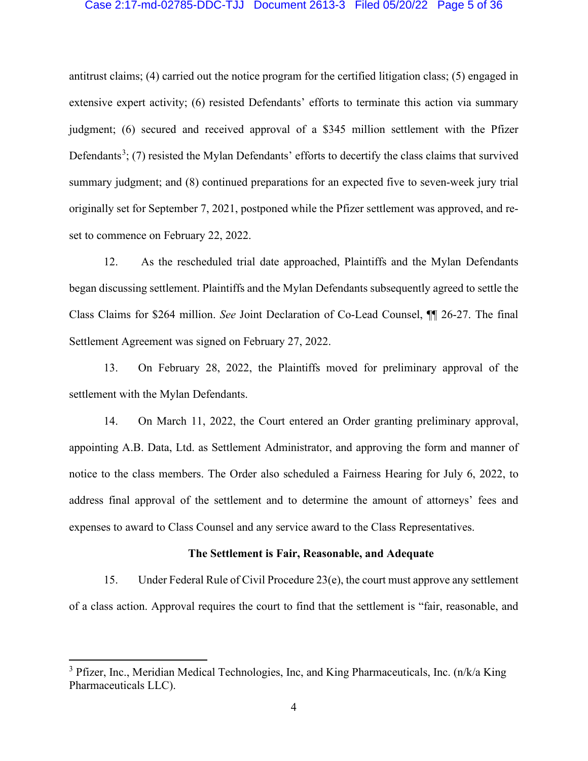# Case 2:17-md-02785-DDC-TJJ Document 2613-3 Filed 05/20/22 Page 5 of 36

antitrust claims; (4) carried out the notice program for the certified litigation class; (5) engaged in extensive expert activity; (6) resisted Defendants' efforts to terminate this action via summary judgment; (6) secured and received approval of a \$345 million settlement with the Pfizer Defendants<sup>3</sup>; (7) resisted the Mylan Defendants' efforts to decertify the class claims that survived summary judgment; and (8) continued preparations for an expected five to seven-week jury trial originally set for September 7, 2021, postponed while the Pfizer settlement was approved, and reset to commence on February 22, 2022.

12. As the rescheduled trial date approached, Plaintiffs and the Mylan Defendants began discussing settlement. Plaintiffs and the Mylan Defendants subsequently agreed to settle the Class Claims for \$264 million. *See* Joint Declaration of Co-Lead Counsel, ¶¶ 26-27. The final Settlement Agreement was signed on February 27, 2022.

13. On February 28, 2022, the Plaintiffs moved for preliminary approval of the settlement with the Mylan Defendants.

14. On March 11, 2022, the Court entered an Order granting preliminary approval, appointing A.B. Data, Ltd. as Settlement Administrator, and approving the form and manner of notice to the class members. The Order also scheduled a Fairness Hearing for July 6, 2022, to address final approval of the settlement and to determine the amount of attorneys' fees and expenses to award to Class Counsel and any service award to the Class Representatives.

### **The Settlement is Fair, Reasonable, and Adequate**

15. Under Federal Rule of Civil Procedure 23(e), the court must approve any settlement of a class action. Approval requires the court to find that the settlement is "fair, reasonable, and

 $3$  Pfizer, Inc., Meridian Medical Technologies, Inc, and King Pharmaceuticals, Inc. (n/k/a King Pharmaceuticals LLC).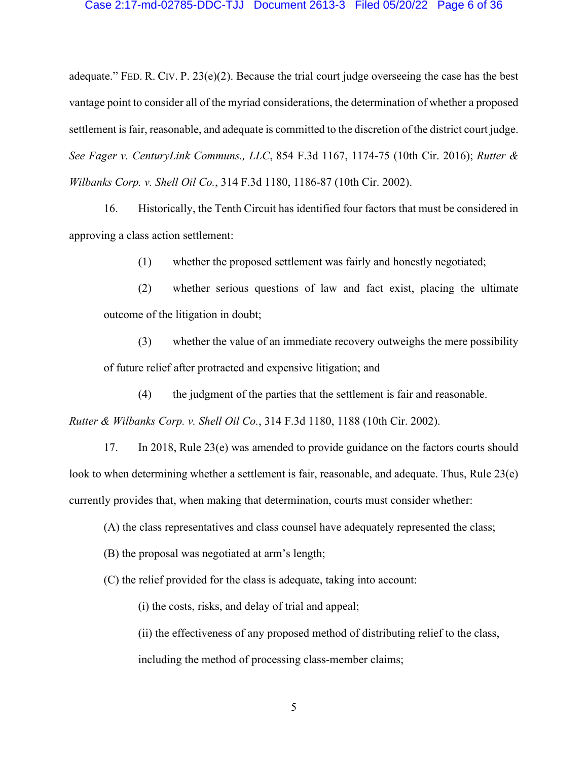### Case 2:17-md-02785-DDC-TJJ Document 2613-3 Filed 05/20/22 Page 6 of 36

adequate." FED. R. CIV. P.  $23(e)(2)$ . Because the trial court judge overseeing the case has the best vantage point to consider all of the myriad considerations, the determination of whether a proposed settlement is fair, reasonable, and adequate is committed to the discretion of the district court judge. *See Fager v. CenturyLink Communs., LLC*, 854 F.3d 1167, 1174-75 (10th Cir. 2016); *Rutter & Wilbanks Corp. v. Shell Oil Co.*, 314 F.3d 1180, 1186-87 (10th Cir. 2002).

16. Historically, the Tenth Circuit has identified four factors that must be considered in approving a class action settlement:

(1) whether the proposed settlement was fairly and honestly negotiated;

(2) whether serious questions of law and fact exist, placing the ultimate outcome of the litigation in doubt;

(3) whether the value of an immediate recovery outweighs the mere possibility of future relief after protracted and expensive litigation; and

(4) the judgment of the parties that the settlement is fair and reasonable.

*Rutter & Wilbanks Corp. v. Shell Oil Co.*, 314 F.3d 1180, 1188 (10th Cir. 2002).

17. In 2018, Rule 23(e) was amended to provide guidance on the factors courts should look to when determining whether a settlement is fair, reasonable, and adequate. Thus, Rule 23(e) currently provides that, when making that determination, courts must consider whether:

(A) the class representatives and class counsel have adequately represented the class;

(B) the proposal was negotiated at arm's length;

(C) the relief provided for the class is adequate, taking into account:

(i) the costs, risks, and delay of trial and appeal;

(ii) the effectiveness of any proposed method of distributing relief to the class, including the method of processing class-member claims;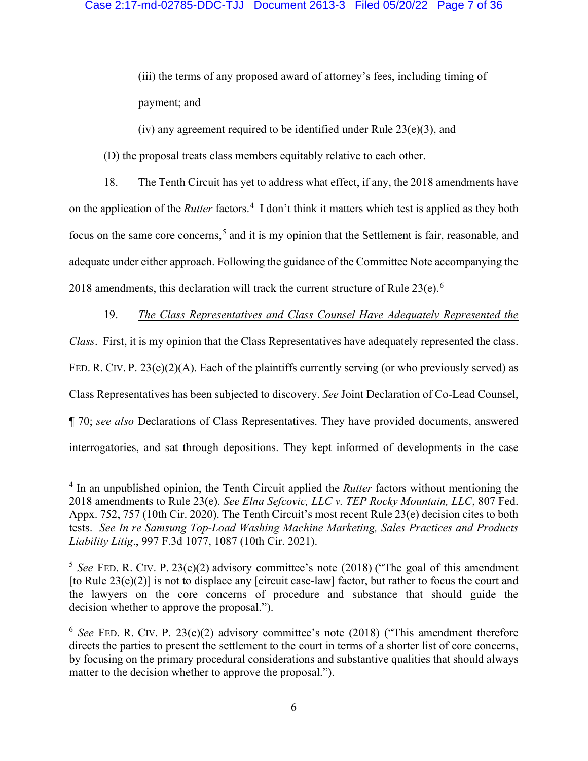(iii) the terms of any proposed award of attorney's fees, including timing of payment; and

(iv) any agreement required to be identified under Rule  $23(e)(3)$ , and

(D) the proposal treats class members equitably relative to each other.

18. The Tenth Circuit has yet to address what effect, if any, the 2018 amendments have on the application of the *Rutter* factors.<sup>4</sup> I don't think it matters which test is applied as they both focus on the same core concerns,<sup>5</sup> and it is my opinion that the Settlement is fair, reasonable, and adequate under either approach. Following the guidance of the Committee Note accompanying the 2018 amendments, this declaration will track the current structure of Rule  $23(e)$ .<sup>6</sup>

19. *The Class Representatives and Class Counsel Have Adequately Represented the Class*. First, it is my opinion that the Class Representatives have adequately represented the class. FED. R. CIV. P. 23(e)(2)(A). Each of the plaintiffs currently serving (or who previously served) as Class Representatives has been subjected to discovery. *See* Joint Declaration of Co-Lead Counsel, ¶ 70; *see also* Declarations of Class Representatives. They have provided documents, answered interrogatories, and sat through depositions. They kept informed of developments in the case

<sup>4</sup> In an unpublished opinion, the Tenth Circuit applied the *Rutter* factors without mentioning the 2018 amendments to Rule 23(e). *See Elna Sefcovic, LLC v. TEP Rocky Mountain, LLC*, 807 Fed. Appx. 752, 757 (10th Cir. 2020). The Tenth Circuit's most recent Rule 23(e) decision cites to both tests. *See In re Samsung Top-Load Washing Machine Marketing, Sales Practices and Products Liability Litig*., 997 F.3d 1077, 1087 (10th Cir. 2021).

<sup>&</sup>lt;sup>5</sup> See FED. R. CIV. P. 23(e)(2) advisory committee's note (2018) ("The goal of this amendment [to Rule  $23(e)(2)$ ] is not to displace any [circuit case-law] factor, but rather to focus the court and the lawyers on the core concerns of procedure and substance that should guide the decision whether to approve the proposal.").

 $6$  *See* FED. R. CIV. P. 23(e)(2) advisory committee's note (2018) ("This amendment therefore directs the parties to present the settlement to the court in terms of a shorter list of core concerns, by focusing on the primary procedural considerations and substantive qualities that should always matter to the decision whether to approve the proposal.").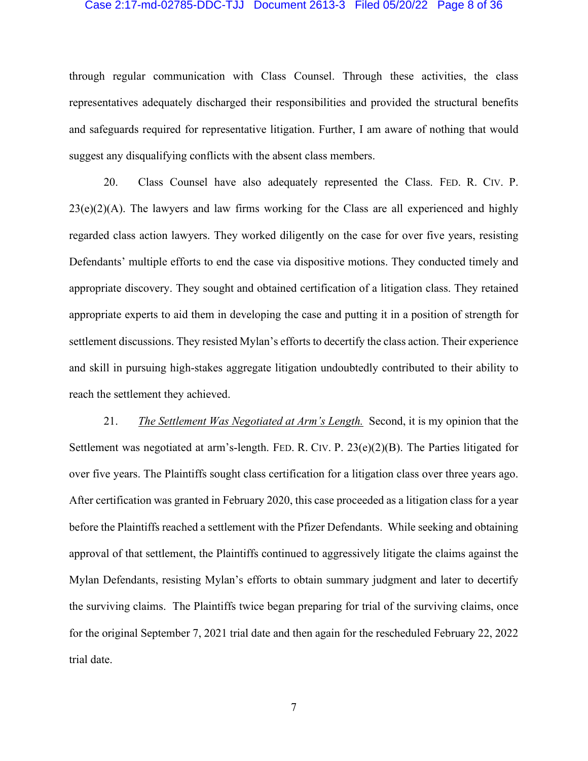### Case 2:17-md-02785-DDC-TJJ Document 2613-3 Filed 05/20/22 Page 8 of 36

through regular communication with Class Counsel. Through these activities, the class representatives adequately discharged their responsibilities and provided the structural benefits and safeguards required for representative litigation. Further, I am aware of nothing that would suggest any disqualifying conflicts with the absent class members.

20. Class Counsel have also adequately represented the Class. FED. R. CIV. P.  $23(e)(2)(A)$ . The lawyers and law firms working for the Class are all experienced and highly regarded class action lawyers. They worked diligently on the case for over five years, resisting Defendants' multiple efforts to end the case via dispositive motions. They conducted timely and appropriate discovery. They sought and obtained certification of a litigation class. They retained appropriate experts to aid them in developing the case and putting it in a position of strength for settlement discussions. They resisted Mylan's efforts to decertify the class action. Their experience and skill in pursuing high-stakes aggregate litigation undoubtedly contributed to their ability to reach the settlement they achieved.

21. *The Settlement Was Negotiated at Arm's Length.* Second, it is my opinion that the Settlement was negotiated at arm's-length. FED. R. CIV. P. 23(e)(2)(B). The Parties litigated for over five years. The Plaintiffs sought class certification for a litigation class over three years ago. After certification was granted in February 2020, this case proceeded as a litigation class for a year before the Plaintiffs reached a settlement with the Pfizer Defendants. While seeking and obtaining approval of that settlement, the Plaintiffs continued to aggressively litigate the claims against the Mylan Defendants, resisting Mylan's efforts to obtain summary judgment and later to decertify the surviving claims. The Plaintiffs twice began preparing for trial of the surviving claims, once for the original September 7, 2021 trial date and then again for the rescheduled February 22, 2022 trial date.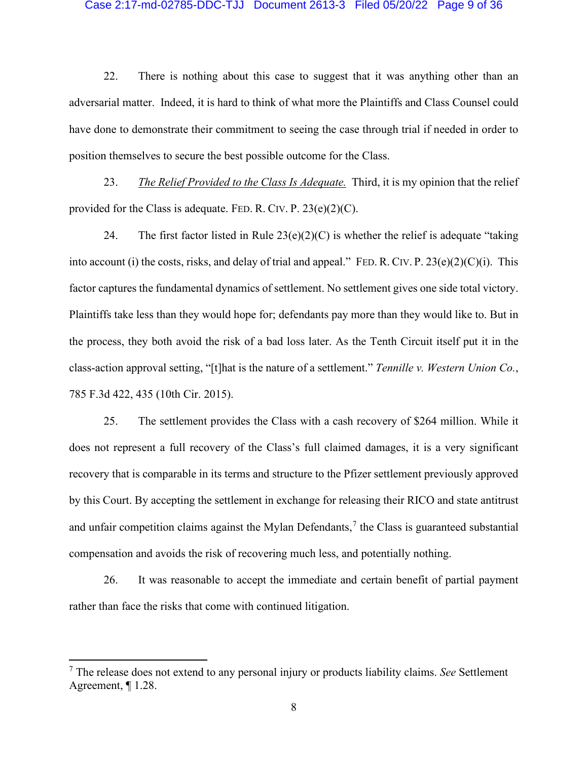# Case 2:17-md-02785-DDC-TJJ Document 2613-3 Filed 05/20/22 Page 9 of 36

22. There is nothing about this case to suggest that it was anything other than an adversarial matter. Indeed, it is hard to think of what more the Plaintiffs and Class Counsel could have done to demonstrate their commitment to seeing the case through trial if needed in order to position themselves to secure the best possible outcome for the Class.

23. *The Relief Provided to the Class Is Adequate.* Third, it is my opinion that the relief provided for the Class is adequate. FED. R. CIV. P.  $23(e)(2)(C)$ .

24. The first factor listed in Rule  $23(e)(2)(C)$  is whether the relief is adequate "taking" into account (i) the costs, risks, and delay of trial and appeal." FED. R. CIV. P. 23(e)(2)(C)(i). This factor captures the fundamental dynamics of settlement. No settlement gives one side total victory. Plaintiffs take less than they would hope for; defendants pay more than they would like to. But in the process, they both avoid the risk of a bad loss later. As the Tenth Circuit itself put it in the class-action approval setting, "[t]hat is the nature of a settlement." *Tennille v. Western Union Co.*, 785 F.3d 422, 435 (10th Cir. 2015).

25. The settlement provides the Class with a cash recovery of \$264 million. While it does not represent a full recovery of the Class's full claimed damages, it is a very significant recovery that is comparable in its terms and structure to the Pfizer settlement previously approved by this Court. By accepting the settlement in exchange for releasing their RICO and state antitrust and unfair competition claims against the Mylan Defendants,<sup>7</sup> the Class is guaranteed substantial compensation and avoids the risk of recovering much less, and potentially nothing.

26. It was reasonable to accept the immediate and certain benefit of partial payment rather than face the risks that come with continued litigation.

<sup>7</sup> The release does not extend to any personal injury or products liability claims. *See* Settlement Agreement, ¶ 1.28.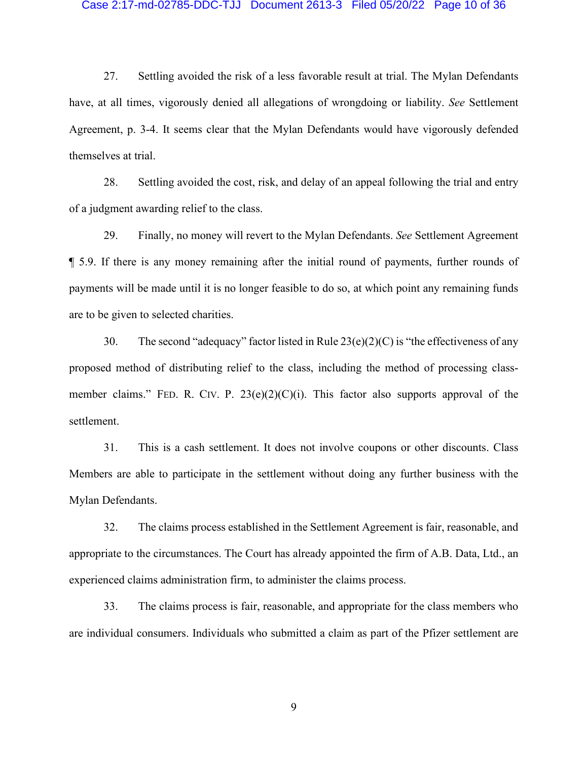### Case 2:17-md-02785-DDC-TJJ Document 2613-3 Filed 05/20/22 Page 10 of 36

27. Settling avoided the risk of a less favorable result at trial. The Mylan Defendants have, at all times, vigorously denied all allegations of wrongdoing or liability. *See* Settlement Agreement, p. 3-4. It seems clear that the Mylan Defendants would have vigorously defended themselves at trial.

28. Settling avoided the cost, risk, and delay of an appeal following the trial and entry of a judgment awarding relief to the class.

29. Finally, no money will revert to the Mylan Defendants. *See* Settlement Agreement ¶ 5.9. If there is any money remaining after the initial round of payments, further rounds of payments will be made until it is no longer feasible to do so, at which point any remaining funds are to be given to selected charities.

30. The second "adequacy" factor listed in Rule  $23(e)(2)(C)$  is "the effectiveness of any proposed method of distributing relief to the class, including the method of processing classmember claims." FED. R. CIV. P. 23(e)(2)(C)(i). This factor also supports approval of the settlement.

31. This is a cash settlement. It does not involve coupons or other discounts. Class Members are able to participate in the settlement without doing any further business with the Mylan Defendants.

32. The claims process established in the Settlement Agreement is fair, reasonable, and appropriate to the circumstances. The Court has already appointed the firm of A.B. Data, Ltd., an experienced claims administration firm, to administer the claims process.

33. The claims process is fair, reasonable, and appropriate for the class members who are individual consumers. Individuals who submitted a claim as part of the Pfizer settlement are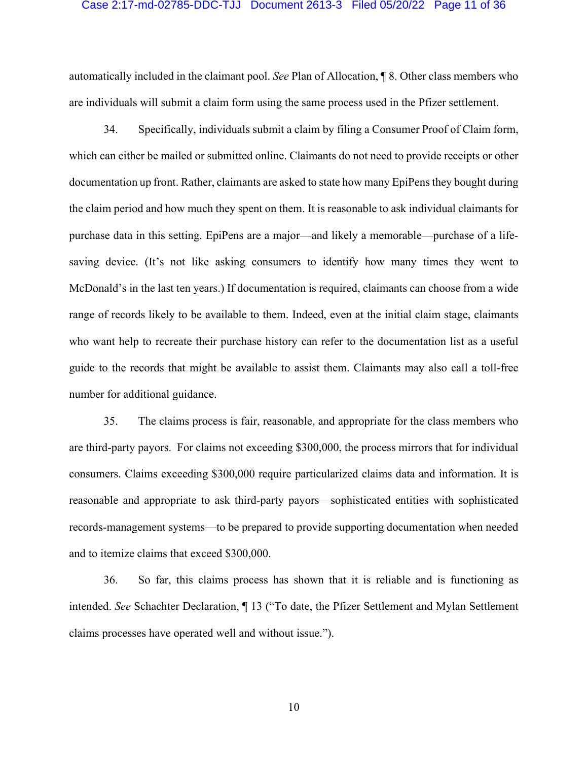# Case 2:17-md-02785-DDC-TJJ Document 2613-3 Filed 05/20/22 Page 11 of 36

automatically included in the claimant pool. *See* Plan of Allocation, ¶ 8. Other class members who are individuals will submit a claim form using the same process used in the Pfizer settlement.

34. Specifically, individuals submit a claim by filing a Consumer Proof of Claim form, which can either be mailed or submitted online. Claimants do not need to provide receipts or other documentation up front. Rather, claimants are asked to state how many EpiPens they bought during the claim period and how much they spent on them. It is reasonable to ask individual claimants for purchase data in this setting. EpiPens are a major—and likely a memorable—purchase of a lifesaving device. (It's not like asking consumers to identify how many times they went to McDonald's in the last ten years.) If documentation is required, claimants can choose from a wide range of records likely to be available to them. Indeed, even at the initial claim stage, claimants who want help to recreate their purchase history can refer to the documentation list as a useful guide to the records that might be available to assist them. Claimants may also call a toll-free number for additional guidance.

35. The claims process is fair, reasonable, and appropriate for the class members who are third-party payors. For claims not exceeding \$300,000, the process mirrors that for individual consumers. Claims exceeding \$300,000 require particularized claims data and information. It is reasonable and appropriate to ask third-party payors—sophisticated entities with sophisticated records-management systems—to be prepared to provide supporting documentation when needed and to itemize claims that exceed \$300,000.

36. So far, this claims process has shown that it is reliable and is functioning as intended. *See* Schachter Declaration, ¶ 13 ("To date, the Pfizer Settlement and Mylan Settlement claims processes have operated well and without issue.").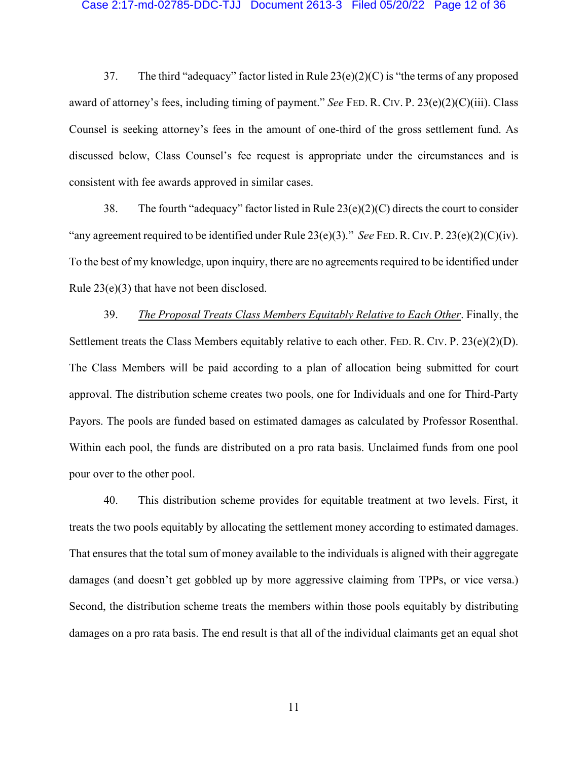### Case 2:17-md-02785-DDC-TJJ Document 2613-3 Filed 05/20/22 Page 12 of 36

37. The third "adequacy" factor listed in Rule 23(e)(2)(C) is "the terms of any proposed award of attorney's fees, including timing of payment." *See* FED. R. CIV. P. 23(e)(2)(C)(iii). Class Counsel is seeking attorney's fees in the amount of one-third of the gross settlement fund. As discussed below, Class Counsel's fee request is appropriate under the circumstances and is consistent with fee awards approved in similar cases.

38. The fourth "adequacy" factor listed in Rule  $23(e)(2)(C)$  directs the court to consider "any agreement required to be identified under Rule 23(e)(3)." *See* FED.R. CIV. P. 23(e)(2)(C)(iv). To the best of my knowledge, upon inquiry, there are no agreements required to be identified under Rule 23(e)(3) that have not been disclosed.

39. *The Proposal Treats Class Members Equitably Relative to Each Other*. Finally, the Settlement treats the Class Members equitably relative to each other. FED. R. CIV. P.  $23(e)(2)(D)$ . The Class Members will be paid according to a plan of allocation being submitted for court approval. The distribution scheme creates two pools, one for Individuals and one for Third-Party Payors. The pools are funded based on estimated damages as calculated by Professor Rosenthal. Within each pool, the funds are distributed on a pro rata basis. Unclaimed funds from one pool pour over to the other pool.

40. This distribution scheme provides for equitable treatment at two levels. First, it treats the two pools equitably by allocating the settlement money according to estimated damages. That ensures that the total sum of money available to the individuals is aligned with their aggregate damages (and doesn't get gobbled up by more aggressive claiming from TPPs, or vice versa.) Second, the distribution scheme treats the members within those pools equitably by distributing damages on a pro rata basis. The end result is that all of the individual claimants get an equal shot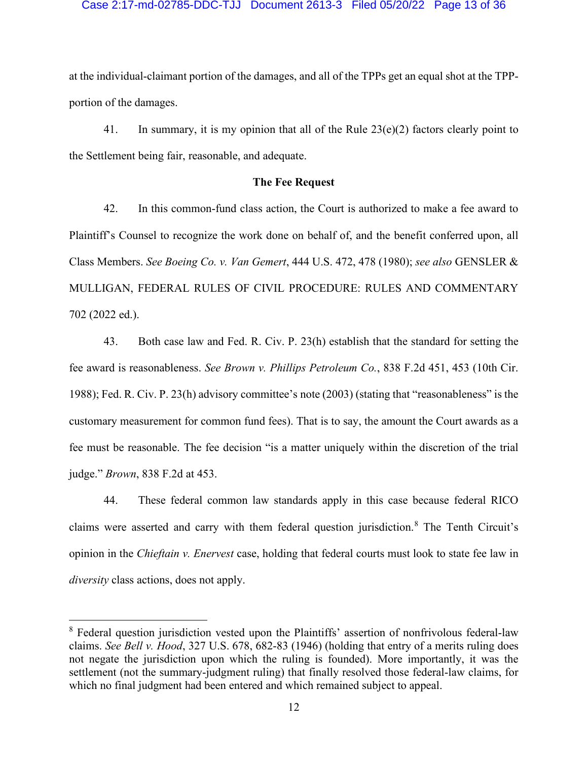# Case 2:17-md-02785-DDC-TJJ Document 2613-3 Filed 05/20/22 Page 13 of 36

at the individual-claimant portion of the damages, and all of the TPPs get an equal shot at the TPPportion of the damages.

41. In summary, it is my opinion that all of the Rule  $23(e)(2)$  factors clearly point to the Settlement being fair, reasonable, and adequate.

# **The Fee Request**

42. In this common-fund class action, the Court is authorized to make a fee award to Plaintiff's Counsel to recognize the work done on behalf of, and the benefit conferred upon, all Class Members. *See Boeing Co. v. Van Gemert*, 444 U.S. 472, 478 (1980); *see also* GENSLER & MULLIGAN, FEDERAL RULES OF CIVIL PROCEDURE: RULES AND COMMENTARY 702 (2022 ed.).

43. Both case law and Fed. R. Civ. P. 23(h) establish that the standard for setting the fee award is reasonableness. *See Brown v. Phillips Petroleum Co.*, 838 F.2d 451, 453 (10th Cir. 1988); Fed. R. Civ. P. 23(h) advisory committee's note (2003) (stating that "reasonableness" is the customary measurement for common fund fees). That is to say, the amount the Court awards as a fee must be reasonable. The fee decision "is a matter uniquely within the discretion of the trial judge." *Brown*, 838 F.2d at 453.

44. These federal common law standards apply in this case because federal RICO claims were asserted and carry with them federal question jurisdiction.<sup>8</sup> The Tenth Circuit's opinion in the *Chieftain v. Enervest* case, holding that federal courts must look to state fee law in *diversity* class actions, does not apply.

<sup>&</sup>lt;sup>8</sup> Federal question jurisdiction vested upon the Plaintiffs' assertion of nonfrivolous federal-law claims. *See Bell v. Hood*, 327 U.S. 678, 682-83 (1946) (holding that entry of a merits ruling does not negate the jurisdiction upon which the ruling is founded). More importantly, it was the settlement (not the summary-judgment ruling) that finally resolved those federal-law claims, for which no final judgment had been entered and which remained subject to appeal.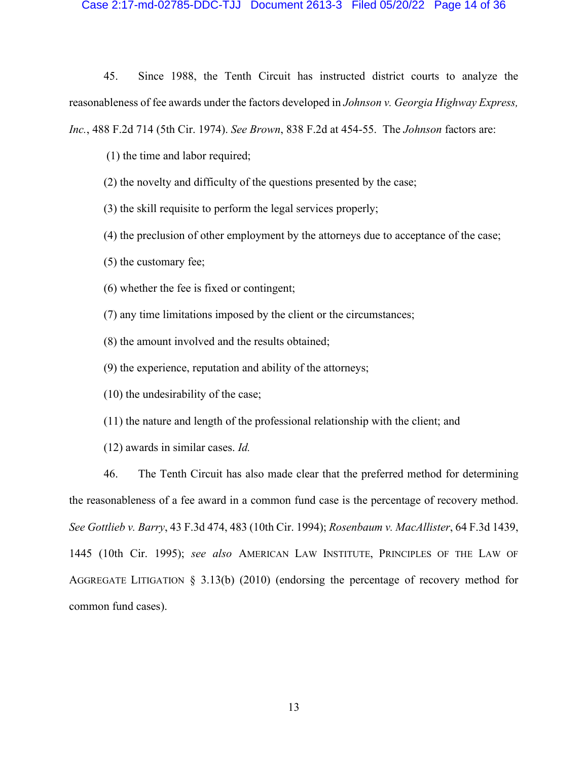### Case 2:17-md-02785-DDC-TJJ Document 2613-3 Filed 05/20/22 Page 14 of 36

45. Since 1988, the Tenth Circuit has instructed district courts to analyze the reasonableness of fee awards under the factors developed in *Johnson v. Georgia Highway Express, Inc.*, 488 F.2d 714 (5th Cir. 1974). *See Brown*, 838 F.2d at 454-55. The *Johnson* factors are:

(1) the time and labor required;

- (2) the novelty and difficulty of the questions presented by the case;
- (3) the skill requisite to perform the legal services properly;
- (4) the preclusion of other employment by the attorneys due to acceptance of the case;
- (5) the customary fee;
- (6) whether the fee is fixed or contingent;
- (7) any time limitations imposed by the client or the circumstances;
- (8) the amount involved and the results obtained;
- (9) the experience, reputation and ability of the attorneys;

(10) the undesirability of the case;

(11) the nature and length of the professional relationship with the client; and

(12) awards in similar cases. *Id.*

46. The Tenth Circuit has also made clear that the preferred method for determining the reasonableness of a fee award in a common fund case is the percentage of recovery method. *See Gottlieb v. Barry*, 43 F.3d 474, 483 (10th Cir. 1994); *Rosenbaum v. MacAllister*, 64 F.3d 1439, 1445 (10th Cir. 1995); *see also* AMERICAN LAW INSTITUTE, PRINCIPLES OF THE LAW OF AGGREGATE LITIGATION § 3.13(b) (2010) (endorsing the percentage of recovery method for common fund cases).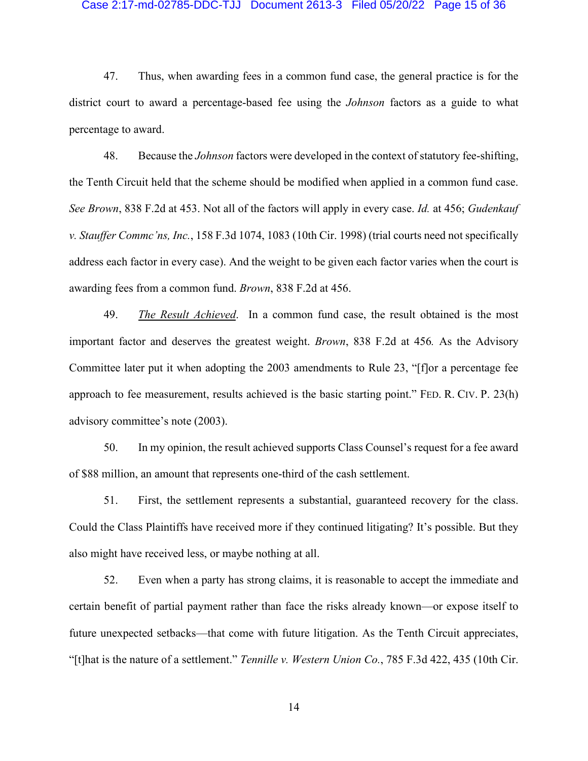# Case 2:17-md-02785-DDC-TJJ Document 2613-3 Filed 05/20/22 Page 15 of 36

47. Thus, when awarding fees in a common fund case, the general practice is for the district court to award a percentage-based fee using the *Johnson* factors as a guide to what percentage to award.

48. Because the *Johnson* factors were developed in the context of statutory fee-shifting, the Tenth Circuit held that the scheme should be modified when applied in a common fund case. *See Brown*, 838 F.2d at 453. Not all of the factors will apply in every case. *Id.* at 456; *Gudenkauf v. Stauffer Commc'ns, Inc.*, 158 F.3d 1074, 1083 (10th Cir. 1998) (trial courts need not specifically address each factor in every case). And the weight to be given each factor varies when the court is awarding fees from a common fund. *Brown*, 838 F.2d at 456.

49. *The Result Achieved*. In a common fund case, the result obtained is the most important factor and deserves the greatest weight. *Brown*, 838 F.2d at 456*.* As the Advisory Committee later put it when adopting the 2003 amendments to Rule 23, "[f]or a percentage fee approach to fee measurement, results achieved is the basic starting point." FED. R. CIV. P. 23(h) advisory committee's note (2003).

50. In my opinion, the result achieved supports Class Counsel's request for a fee award of \$88 million, an amount that represents one-third of the cash settlement.

51. First, the settlement represents a substantial, guaranteed recovery for the class. Could the Class Plaintiffs have received more if they continued litigating? It's possible. But they also might have received less, or maybe nothing at all.

52. Even when a party has strong claims, it is reasonable to accept the immediate and certain benefit of partial payment rather than face the risks already known—or expose itself to future unexpected setbacks—that come with future litigation. As the Tenth Circuit appreciates, "[t]hat is the nature of a settlement." *Tennille v. Western Union Co.*, 785 F.3d 422, 435 (10th Cir.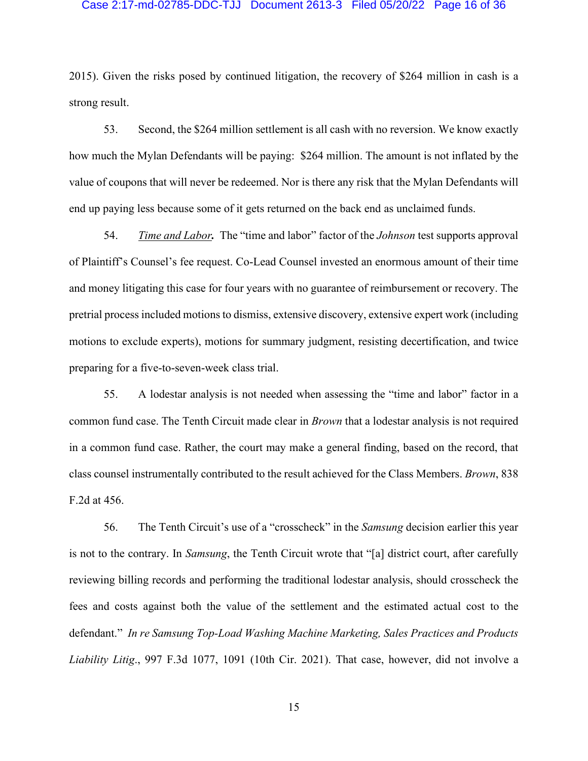# Case 2:17-md-02785-DDC-TJJ Document 2613-3 Filed 05/20/22 Page 16 of 36

2015). Given the risks posed by continued litigation, the recovery of \$264 million in cash is a strong result.

53. Second, the \$264 million settlement is all cash with no reversion. We know exactly how much the Mylan Defendants will be paying: \$264 million. The amount is not inflated by the value of coupons that will never be redeemed. Nor is there any risk that the Mylan Defendants will end up paying less because some of it gets returned on the back end as unclaimed funds.

54. *Time and Labor.* The "time and labor" factor of the *Johnson* test supports approval of Plaintiff's Counsel's fee request. Co-Lead Counsel invested an enormous amount of their time and money litigating this case for four years with no guarantee of reimbursement or recovery. The pretrial process included motions to dismiss, extensive discovery, extensive expert work (including motions to exclude experts), motions for summary judgment, resisting decertification, and twice preparing for a five-to-seven-week class trial.

55. A lodestar analysis is not needed when assessing the "time and labor" factor in a common fund case. The Tenth Circuit made clear in *Brown* that a lodestar analysis is not required in a common fund case. Rather, the court may make a general finding, based on the record, that class counsel instrumentally contributed to the result achieved for the Class Members. *Brown*, 838 F.2d at 456.

56. The Tenth Circuit's use of a "crosscheck" in the *Samsung* decision earlier this year is not to the contrary. In *Samsung*, the Tenth Circuit wrote that "[a] district court, after carefully reviewing billing records and performing the traditional lodestar analysis, should crosscheck the fees and costs against both the value of the settlement and the estimated actual cost to the defendant." *In re Samsung Top-Load Washing Machine Marketing, Sales Practices and Products Liability Litig*., 997 F.3d 1077, 1091 (10th Cir. 2021). That case, however, did not involve a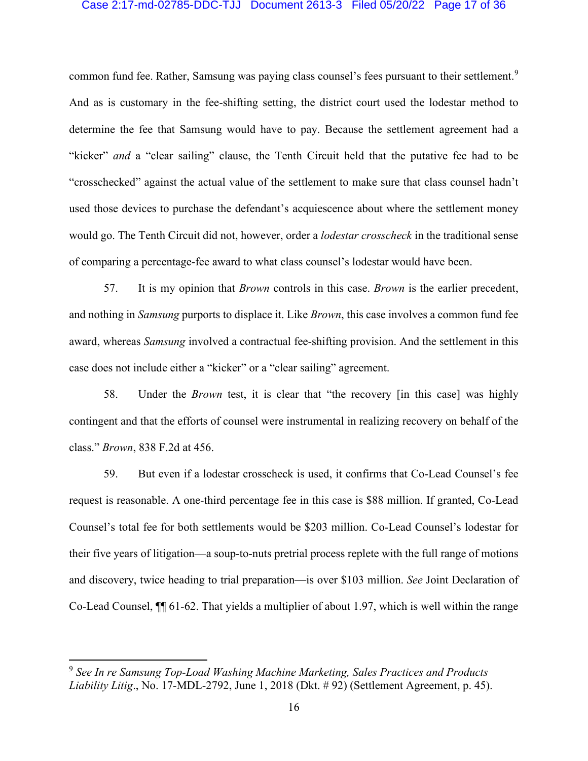# Case 2:17-md-02785-DDC-TJJ Document 2613-3 Filed 05/20/22 Page 17 of 36

common fund fee. Rather, Samsung was paying class counsel's fees pursuant to their settlement.<sup>9</sup> And as is customary in the fee-shifting setting, the district court used the lodestar method to determine the fee that Samsung would have to pay. Because the settlement agreement had a "kicker" *and* a "clear sailing" clause, the Tenth Circuit held that the putative fee had to be "crosschecked" against the actual value of the settlement to make sure that class counsel hadn't used those devices to purchase the defendant's acquiescence about where the settlement money would go. The Tenth Circuit did not, however, order a *lodestar crosscheck* in the traditional sense of comparing a percentage-fee award to what class counsel's lodestar would have been.

57. It is my opinion that *Brown* controls in this case. *Brown* is the earlier precedent, and nothing in *Samsung* purports to displace it. Like *Brown*, this case involves a common fund fee award, whereas *Samsung* involved a contractual fee-shifting provision. And the settlement in this case does not include either a "kicker" or a "clear sailing" agreement.

58. Under the *Brown* test, it is clear that "the recovery [in this case] was highly contingent and that the efforts of counsel were instrumental in realizing recovery on behalf of the class." *Brown*, 838 F.2d at 456.

59. But even if a lodestar crosscheck is used, it confirms that Co-Lead Counsel's fee request is reasonable. A one-third percentage fee in this case is \$88 million. If granted, Co-Lead Counsel's total fee for both settlements would be \$203 million. Co-Lead Counsel's lodestar for their five years of litigation—a soup-to-nuts pretrial process replete with the full range of motions and discovery, twice heading to trial preparation—is over \$103 million. *See* Joint Declaration of Co-Lead Counsel, ¶¶ 61-62. That yields a multiplier of about 1.97, which is well within the range

<sup>9</sup> *See In re Samsung Top-Load Washing Machine Marketing, Sales Practices and Products Liability Litig*., No. 17-MDL-2792, June 1, 2018 (Dkt. # 92) (Settlement Agreement, p. 45).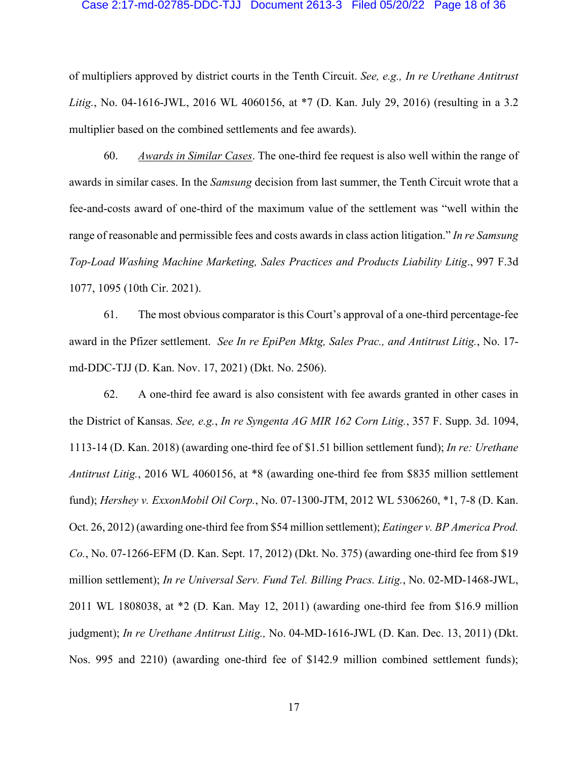### Case 2:17-md-02785-DDC-TJJ Document 2613-3 Filed 05/20/22 Page 18 of 36

of multipliers approved by district courts in the Tenth Circuit. *See, e.g., In re Urethane Antitrust Litig.*, No. 04-1616-JWL, 2016 WL 4060156, at \*7 (D. Kan. July 29, 2016) (resulting in a 3.2 multiplier based on the combined settlements and fee awards).

60. *Awards in Similar Cases*. The one-third fee request is also well within the range of awards in similar cases. In the *Samsung* decision from last summer, the Tenth Circuit wrote that a fee-and-costs award of one-third of the maximum value of the settlement was "well within the range of reasonable and permissible fees and costs awards in class action litigation." *In re Samsung Top-Load Washing Machine Marketing, Sales Practices and Products Liability Litig*., 997 F.3d 1077, 1095 (10th Cir. 2021).

61. The most obvious comparator is this Court's approval of a one-third percentage-fee award in the Pfizer settlement. *See In re EpiPen Mktg, Sales Prac., and Antitrust Litig.*, No. 17 md-DDC-TJJ (D. Kan. Nov. 17, 2021) (Dkt. No. 2506).

62. A one-third fee award is also consistent with fee awards granted in other cases in the District of Kansas. *See, e.g.*, *In re Syngenta AG MIR 162 Corn Litig.*, 357 F. Supp. 3d. 1094, 1113-14 (D. Kan. 2018) (awarding one-third fee of \$1.51 billion settlement fund); *In re: Urethane Antitrust Litig.*, 2016 WL 4060156, at \*8 (awarding one-third fee from \$835 million settlement fund); *Hershey v. ExxonMobil Oil Corp.*, No. 07-1300-JTM, 2012 WL 5306260, \*1, 7-8 (D. Kan. Oct. 26, 2012) (awarding one-third fee from \$54 million settlement); *Eatinger v. BP America Prod. Co.*, No. 07-1266-EFM (D. Kan. Sept. 17, 2012) (Dkt. No. 375) (awarding one-third fee from \$19 million settlement); *In re Universal Serv. Fund Tel. Billing Pracs. Litig.*, No. 02-MD-1468-JWL, 2011 WL 1808038, at \*2 (D. Kan. May 12, 2011) (awarding one-third fee from \$16.9 million judgment); *In re Urethane Antitrust Litig.,* No. 04-MD-1616-JWL (D. Kan. Dec. 13, 2011) (Dkt. Nos. 995 and 2210) (awarding one-third fee of \$142.9 million combined settlement funds);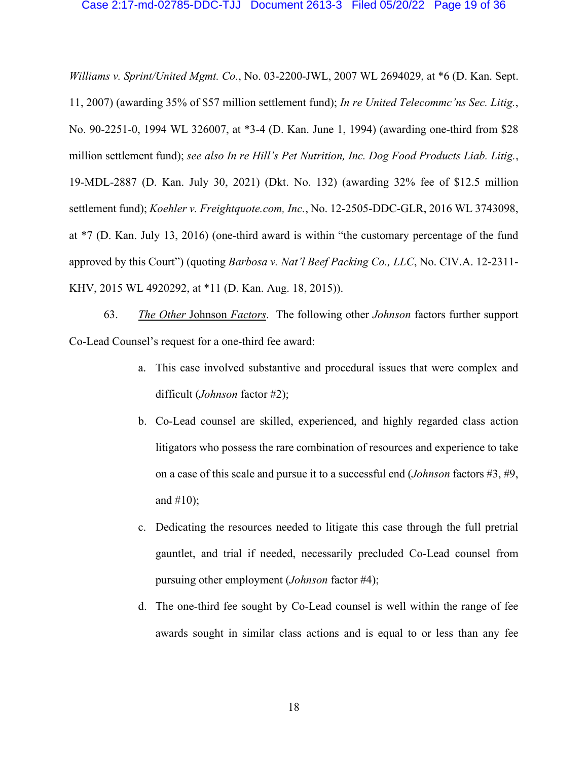### Case 2:17-md-02785-DDC-TJJ Document 2613-3 Filed 05/20/22 Page 19 of 36

*Williams v. Sprint/United Mgmt. Co.*, No. 03-2200-JWL, 2007 WL 2694029, at \*6 (D. Kan. Sept. 11, 2007) (awarding 35% of \$57 million settlement fund); *In re United Telecommc'ns Sec. Litig.*, No. 90-2251-0, 1994 WL 326007, at \*3-4 (D. Kan. June 1, 1994) (awarding one-third from \$28 million settlement fund); *see also In re Hill's Pet Nutrition, Inc. Dog Food Products Liab. Litig.*, 19-MDL-2887 (D. Kan. July 30, 2021) (Dkt. No. 132) (awarding 32% fee of \$12.5 million settlement fund); *Koehler v. Freightquote.com, Inc.*, No. 12-2505-DDC-GLR, 2016 WL 3743098, at \*7 (D. Kan. July 13, 2016) (one-third award is within "the customary percentage of the fund approved by this Court") (quoting *Barbosa v. Nat'l Beef Packing Co., LLC*, No. CIV.A. 12-2311- KHV, 2015 WL 4920292, at \*11 (D. Kan. Aug. 18, 2015)).

63. *The Other* Johnson *Factors*. The following other *Johnson* factors further support Co-Lead Counsel's request for a one-third fee award:

- a. This case involved substantive and procedural issues that were complex and difficult (*Johnson* factor #2);
- b. Co-Lead counsel are skilled, experienced, and highly regarded class action litigators who possess the rare combination of resources and experience to take on a case of this scale and pursue it to a successful end (*Johnson* factors #3, #9, and  $#10$ ;
- c. Dedicating the resources needed to litigate this case through the full pretrial gauntlet, and trial if needed, necessarily precluded Co-Lead counsel from pursuing other employment (*Johnson* factor #4);
- d. The one-third fee sought by Co-Lead counsel is well within the range of fee awards sought in similar class actions and is equal to or less than any fee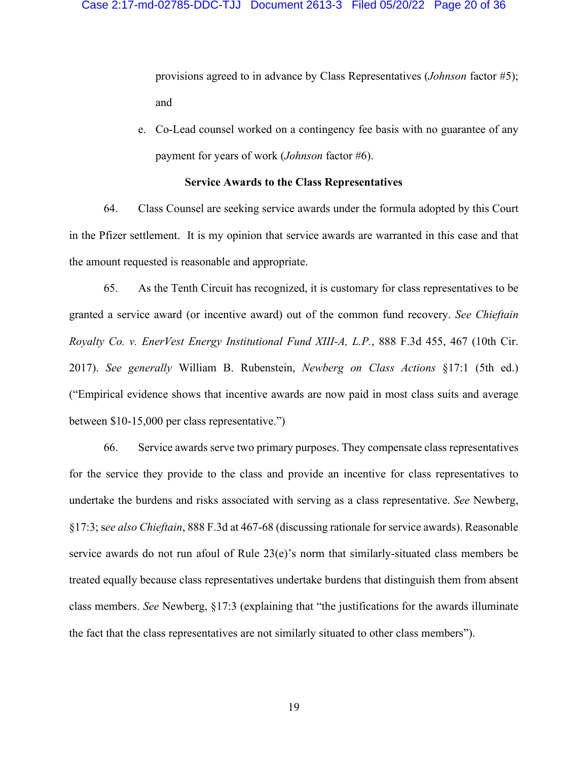provisions agreed to in advance by Class Representatives (*Johnson* factor #5); and

e. Co-Lead counsel worked on a contingency fee basis with no guarantee of any payment for years of work (*Johnson* factor #6).

# **Service Awards to the Class Representatives**

64. Class Counsel are seeking service awards under the formula adopted by this Court in the Pfizer settlement. It is my opinion that service awards are warranted in this case and that the amount requested is reasonable and appropriate.

65. As the Tenth Circuit has recognized, it is customary for class representatives to be granted a service award (or incentive award) out of the common fund recovery. *See Chieftain Royalty Co. v. EnerVest Energy Institutional Fund XIII-A, L.P.*, 888 F.3d 455, 467 (10th Cir. 2017). *See generally* William B. Rubenstein, *Newberg on Class Actions* §17:1 (5th ed.) ("Empirical evidence shows that incentive awards are now paid in most class suits and average between \$10-15,000 per class representative.")

66. Service awards serve two primary purposes. They compensate class representatives for the service they provide to the class and provide an incentive for class representatives to undertake the burdens and risks associated with serving as a class representative. *See* Newberg, §17:3; s*ee also Chieftain*, 888 F.3d at 467-68 (discussing rationale for service awards). Reasonable service awards do not run afoul of Rule 23(e)'s norm that similarly-situated class members be treated equally because class representatives undertake burdens that distinguish them from absent class members. *See* Newberg, §17:3 (explaining that "the justifications for the awards illuminate the fact that the class representatives are not similarly situated to other class members").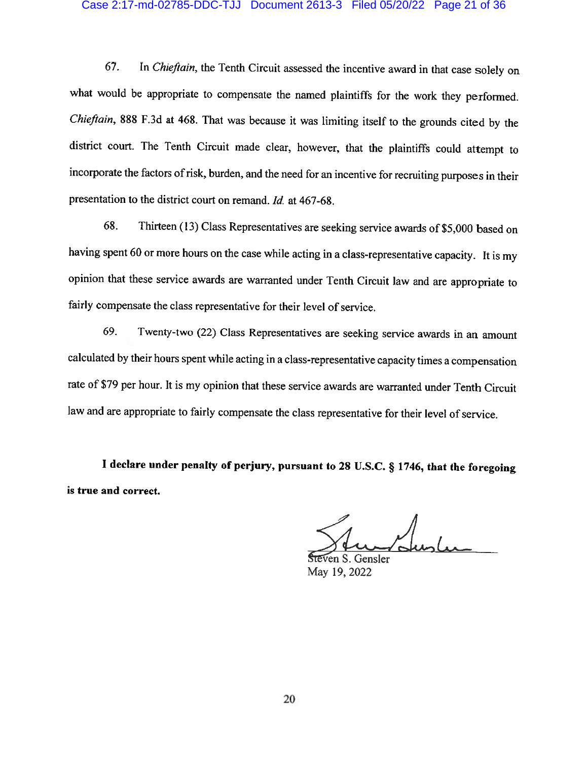### Case 2:17-md-02785-DDC-TJJ Document 2613-3 Filed 05/20/22 Page 21 of 36

In Chieftain, the Tenth Circuit assessed the incentive award in that case solely on 67. what would be appropriate to compensate the named plaintiffs for the work they performed. Chieftain, 888 F.3d at 468. That was because it was limiting itself to the grounds cited by the district court. The Tenth Circuit made clear, however, that the plaintiffs could attempt to incorporate the factors of risk, burden, and the need for an incentive for recruiting purposes in their presentation to the district court on remand. Id. at 467-68.

Thirteen (13) Class Representatives are seeking service awards of \$5,000 based on 68. having spent 60 or more hours on the case while acting in a class-representative capacity. It is my opinion that these service awards are warranted under Tenth Circuit law and are appropriate to fairly compensate the class representative for their level of service.

Twenty-two (22) Class Representatives are seeking service awards in an amount 69. calculated by their hours spent while acting in a class-representative capacity times a compensation rate of \$79 per hour. It is my opinion that these service awards are warranted under Tenth Circuit law and are appropriate to fairly compensate the class representative for their level of service.

I declare under penalty of perjury, pursuant to 28 U.S.C. § 1746, that the foregoing is true and correct.

Steven S. Gensler May 19, 2022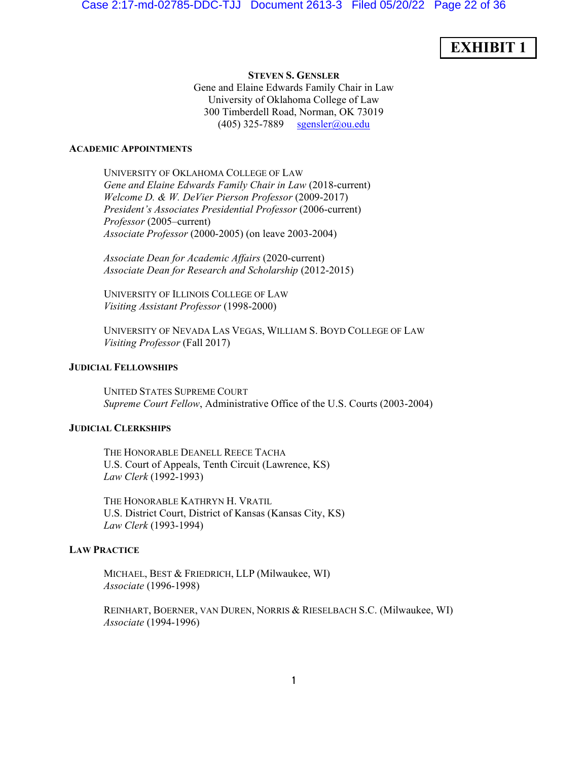# **EXHIBIT 1**

**STEVEN S. GENSLER** Gene and Elaine Edwards Family Chair in Law University of Oklahoma College of Law 300 Timberdell Road, Norman, OK 73019 (405) 325-7889 sgensler@ou.edu

### **ACADEMIC APPOINTMENTS**

UNIVERSITY OF OKLAHOMA COLLEGE OF LAW *Gene and Elaine Edwards Family Chair in Law* (2018-current) *Welcome D. & W. DeVier Pierson Professor* (2009-2017) *President's Associates Presidential Professor* (2006-current) *Professor* (2005–current) *Associate Professor* (2000-2005) (on leave 2003-2004)

*Associate Dean for Academic Affairs* (2020-current) *Associate Dean for Research and Scholarship* (2012-2015)

UNIVERSITY OF ILLINOIS COLLEGE OF LAW *Visiting Assistant Professor* (1998-2000)

UNIVERSITY OF NEVADA LAS VEGAS, WILLIAM S. BOYD COLLEGE OF LAW *Visiting Professor* (Fall 2017)

# **JUDICIAL FELLOWSHIPS**

UNITED STATES SUPREME COURT *Supreme Court Fellow*, Administrative Office of the U.S. Courts (2003-2004)

# **JUDICIAL CLERKSHIPS**

THE HONORABLE DEANELL REECE TACHA U.S. Court of Appeals, Tenth Circuit (Lawrence, KS) *Law Clerk* (1992-1993)

THE HONORABLE KATHRYN H. VRATIL U.S. District Court, District of Kansas (Kansas City, KS) *Law Clerk* (1993-1994)

# **LAW PRACTICE**

MICHAEL, BEST & FRIEDRICH, LLP (Milwaukee, WI) *Associate* (1996-1998)

REINHART, BOERNER, VAN DUREN, NORRIS & RIESELBACH S.C. (Milwaukee, WI) *Associate* (1994-1996)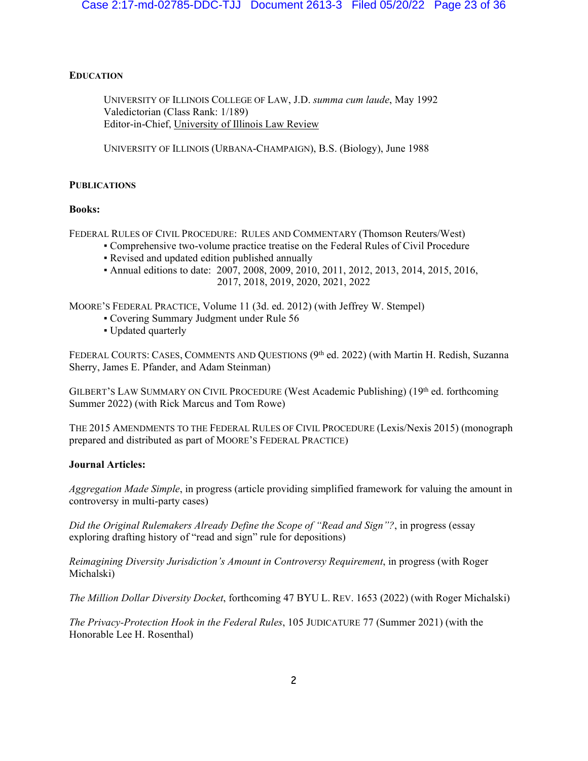# **EDUCATION**

UNIVERSITY OF ILLINOIS COLLEGE OF LAW, J.D. *summa cum laude*, May 1992 Valedictorian (Class Rank: 1/189) Editor-in-Chief, University of Illinois Law Review

UNIVERSITY OF ILLINOIS (URBANA-CHAMPAIGN), B.S. (Biology), June 1988

# **PUBLICATIONS**

# **Books:**

FEDERAL RULES OF CIVIL PROCEDURE: RULES AND COMMENTARY (Thomson Reuters/West)

- Comprehensive two-volume practice treatise on the Federal Rules of Civil Procedure
- Revised and updated edition published annually
- Annual editions to date: 2007, 2008, 2009, 2010, 2011, 2012, 2013, 2014, 2015, 2016, 2017, 2018, 2019, 2020, 2021, 2022

MOORE'S FEDERAL PRACTICE, Volume 11 (3d. ed. 2012) (with Jeffrey W. Stempel)

- Covering Summary Judgment under Rule 56
- Updated quarterly

FEDERAL COURTS: CASES, COMMENTS AND QUESTIONS  $(9<sup>th</sup>$  ed. 2022) (with Martin H. Redish, Suzanna Sherry, James E. Pfander, and Adam Steinman)

GILBERT'S LAW SUMMARY ON CIVIL PROCEDURE (West Academic Publishing) (19<sup>th</sup> ed. forthcoming Summer 2022) (with Rick Marcus and Tom Rowe)

THE 2015 AMENDMENTS TO THE FEDERAL RULES OF CIVIL PROCEDURE (Lexis/Nexis 2015) (monograph prepared and distributed as part of MOORE'S FEDERAL PRACTICE)

# **Journal Articles:**

*Aggregation Made Simple*, in progress (article providing simplified framework for valuing the amount in controversy in multi-party cases)

*Did the Original Rulemakers Already Define the Scope of "Read and Sign"?*, in progress (essay exploring drafting history of "read and sign" rule for depositions)

*Reimagining Diversity Jurisdiction's Amount in Controversy Requirement*, in progress (with Roger Michalski)

*The Million Dollar Diversity Docket*, forthcoming 47 BYU L. REV. 1653 (2022) (with Roger Michalski)

*The Privacy-Protection Hook in the Federal Rules*, 105 JUDICATURE 77 (Summer 2021) (with the Honorable Lee H. Rosenthal)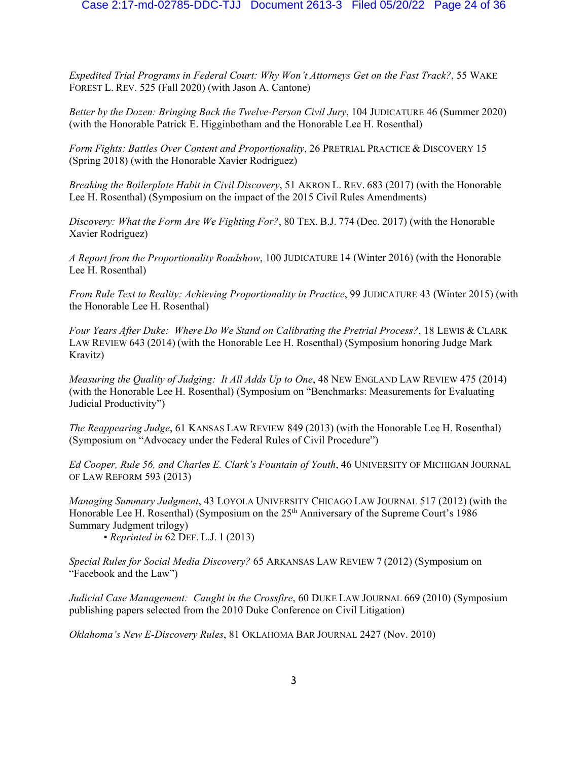*Expedited Trial Programs in Federal Court: Why Won't Attorneys Get on the Fast Track?*, 55 WAKE FOREST L. REV. 525 (Fall 2020) (with Jason A. Cantone)

*Better by the Dozen: Bringing Back the Twelve-Person Civil Jury*, 104 JUDICATURE 46 (Summer 2020) (with the Honorable Patrick E. Higginbotham and the Honorable Lee H. Rosenthal)

*Form Fights: Battles Over Content and Proportionality*, 26 PRETRIAL PRACTICE & DISCOVERY 15 (Spring 2018) (with the Honorable Xavier Rodriguez)

*Breaking the Boilerplate Habit in Civil Discovery*, 51 AKRON L. REV. 683 (2017) (with the Honorable Lee H. Rosenthal) (Symposium on the impact of the 2015 Civil Rules Amendments)

*Discovery: What the Form Are We Fighting For?*, 80 TEX. B.J. 774 (Dec. 2017) (with the Honorable Xavier Rodriguez)

*A Report from the Proportionality Roadshow*, 100 JUDICATURE 14 (Winter 2016) (with the Honorable Lee H. Rosenthal)

*From Rule Text to Reality: Achieving Proportionality in Practice*, 99 JUDICATURE 43 (Winter 2015) (with the Honorable Lee H. Rosenthal)

*Four Years After Duke: Where Do We Stand on Calibrating the Pretrial Process?*, 18 LEWIS & CLARK LAW REVIEW 643 (2014) (with the Honorable Lee H. Rosenthal) (Symposium honoring Judge Mark Kravitz)

*Measuring the Quality of Judging: It All Adds Up to One*, 48 NEW ENGLAND LAW REVIEW 475 (2014) (with the Honorable Lee H. Rosenthal) (Symposium on "Benchmarks: Measurements for Evaluating Judicial Productivity")

*The Reappearing Judge*, 61 KANSAS LAW REVIEW 849 (2013) (with the Honorable Lee H. Rosenthal) (Symposium on "Advocacy under the Federal Rules of Civil Procedure")

*Ed Cooper, Rule 56, and Charles E. Clark's Fountain of Youth*, 46 UNIVERSITY OF MICHIGAN JOURNAL OF LAW REFORM 593 (2013)

*Managing Summary Judgment*, 43 LOYOLA UNIVERSITY CHICAGO LAW JOURNAL 517 (2012) (with the Honorable Lee H. Rosenthal) (Symposium on the 25<sup>th</sup> Anniversary of the Supreme Court's 1986 Summary Judgment trilogy)

ƒ*Reprinted in* 62 DEF. L.J. 1 (2013)

*Special Rules for Social Media Discovery?* 65 ARKANSAS LAW REVIEW 7 (2012) (Symposium on "Facebook and the Law")

*Judicial Case Management: Caught in the Crossfire*, 60 DUKE LAW JOURNAL 669 (2010) (Symposium publishing papers selected from the 2010 Duke Conference on Civil Litigation)

*Oklahoma's New E-Discovery Rules*, 81 OKLAHOMA BAR JOURNAL 2427 (Nov. 2010)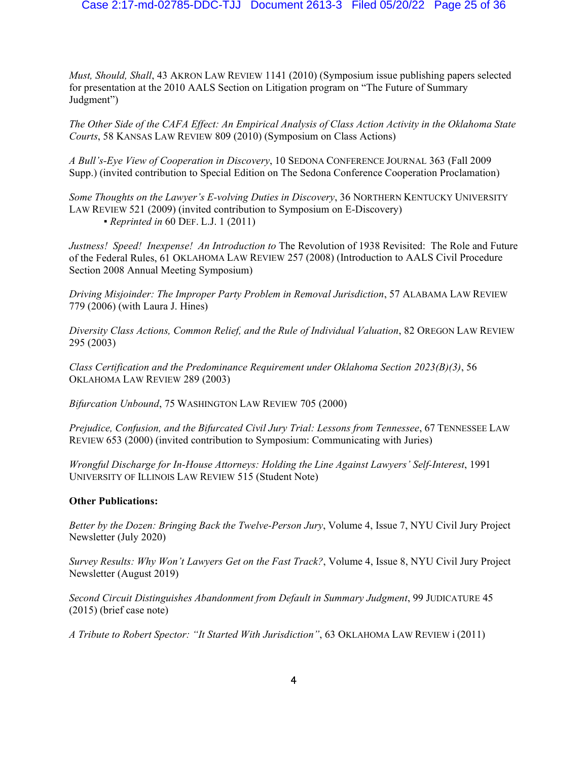*Must, Should, Shall*, 43 AKRON LAW REVIEW 1141 (2010) (Symposium issue publishing papers selected for presentation at the 2010 AALS Section on Litigation program on "The Future of Summary Judgment")

*The Other Side of the CAFA Effect: An Empirical Analysis of Class Action Activity in the Oklahoma State Courts*, 58 KANSAS LAW REVIEW 809 (2010) (Symposium on Class Actions)

*A Bull's-Eye View of Cooperation in Discovery*, 10 SEDONA CONFERENCE JOURNAL 363 (Fall 2009 Supp.) (invited contribution to Special Edition on The Sedona Conference Cooperation Proclamation)

*Some Thoughts on the Lawyer's E-volving Duties in Discovery*, 36 NORTHERN KENTUCKY UNIVERSITY LAW REVIEW 521 (2009) (invited contribution to Symposium on E-Discovery) *ƒ Reprinted in* 60 DEF. L.J. 1 (2011)

*Justness! Speed! Inexpense! An Introduction to* The Revolution of 1938 Revisited: The Role and Future of the Federal Rules, 61 OKLAHOMA LAW REVIEW 257 (2008) (Introduction to AALS Civil Procedure Section 2008 Annual Meeting Symposium)

*Driving Misjoinder: The Improper Party Problem in Removal Jurisdiction*, 57 ALABAMA LAW REVIEW 779 (2006) (with Laura J. Hines)

*Diversity Class Actions, Common Relief, and the Rule of Individual Valuation*, 82 OREGON LAW REVIEW 295 (2003)

*Class Certification and the Predominance Requirement under Oklahoma Section 2023(B)(3)*, 56 OKLAHOMA LAW REVIEW 289 (2003)

*Bifurcation Unbound*, 75 WASHINGTON LAW REVIEW 705 (2000)

*Prejudice, Confusion, and the Bifurcated Civil Jury Trial: Lessons from Tennessee*, 67 TENNESSEE LAW REVIEW 653 (2000) (invited contribution to Symposium: Communicating with Juries)

*Wrongful Discharge for In-House Attorneys: Holding the Line Against Lawyers' Self-Interest*, 1991 UNIVERSITY OF ILLINOIS LAW REVIEW 515 (Student Note)

### **Other Publications:**

*Better by the Dozen: Bringing Back the Twelve-Person Jury*, Volume 4, Issue 7, NYU Civil Jury Project Newsletter (July 2020)

*Survey Results: Why Won't Lawyers Get on the Fast Track?*, Volume 4, Issue 8, NYU Civil Jury Project Newsletter (August 2019)

*Second Circuit Distinguishes Abandonment from Default in Summary Judgment*, 99 JUDICATURE 45 (2015) (brief case note)

*A Tribute to Robert Spector: "It Started With Jurisdiction"*, 63 OKLAHOMA LAW REVIEW i (2011)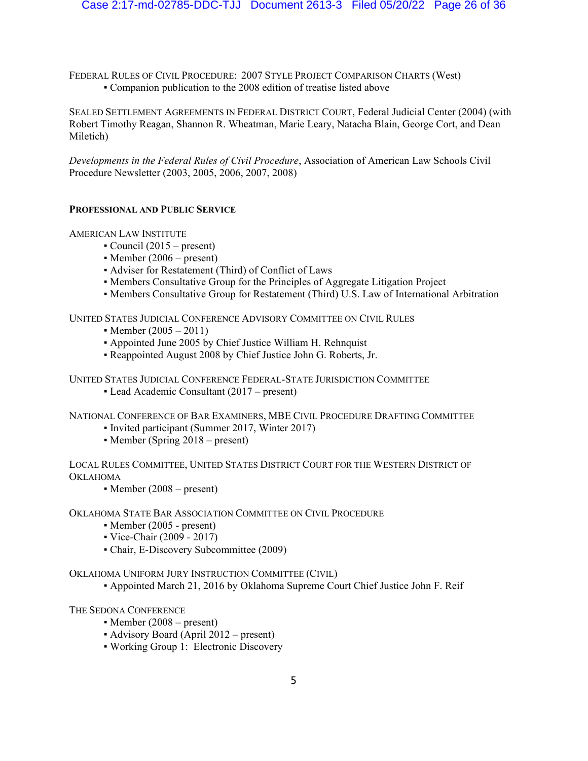FEDERAL RULES OF CIVIL PROCEDURE: 2007 STYLE PROJECT COMPARISON CHARTS (West) ƒ Companion publication to the 2008 edition of treatise listed above

SEALED SETTLEMENT AGREEMENTS IN FEDERAL DISTRICT COURT, Federal Judicial Center (2004) (with Robert Timothy Reagan, Shannon R. Wheatman, Marie Leary, Natacha Blain, George Cort, and Dean Miletich)

*Developments in the Federal Rules of Civil Procedure*, Association of American Law Schools Civil Procedure Newsletter (2003, 2005, 2006, 2007, 2008)

# **PROFESSIONAL AND PUBLIC SERVICE**

# AMERICAN LAW INSTITUTE

- $\bullet$  Council (2015 present)
- Member  $(2006 present)$
- Adviser for Restatement (Third) of Conflict of Laws
- ƒ Members Consultative Group for the Principles of Aggregate Litigation Project
- Members Consultative Group for Restatement (Third) U.S. Law of International Arbitration

UNITED STATES JUDICIAL CONFERENCE ADVISORY COMMITTEE ON CIVIL RULES

- Member  $(2005 2011)$
- Appointed June 2005 by Chief Justice William H. Rehnquist
- ƒ Reappointed August 2008 by Chief Justice John G. Roberts, Jr.

UNITED STATES JUDICIAL CONFERENCE FEDERAL-STATE JURISDICTION COMMITTEE

• Lead Academic Consultant (2017 – present)

NATIONAL CONFERENCE OF BAR EXAMINERS, MBE CIVIL PROCEDURE DRAFTING COMMITTEE

- Invited participant (Summer 2017, Winter 2017)
- Member (Spring 2018 present)

LOCAL RULES COMMITTEE, UNITED STATES DISTRICT COURT FOR THE WESTERN DISTRICT OF OKLAHOMA

• Member  $(2008 – present)$ 

OKLAHOMA STATE BAR ASSOCIATION COMMITTEE ON CIVIL PROCEDURE

- Member (2005 present)
- Vice-Chair (2009 2017)
- Chair, E-Discovery Subcommittee (2009)

OKLAHOMA UNIFORM JURY INSTRUCTION COMMITTEE (CIVIL)

ƒ Appointed March 21, 2016 by Oklahoma Supreme Court Chief Justice John F. Reif

THE SEDONA CONFERENCE

- *ƒ* Member (2008 present)
- ƒ Advisory Board (April 2012 present)
- ƒ Working Group 1: Electronic Discovery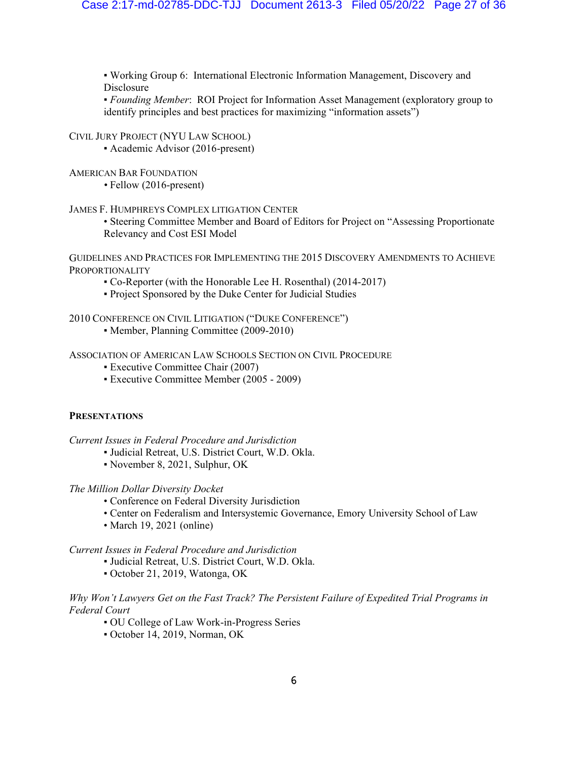ƒ Working Group 6: International Electronic Information Management, Discovery and **Disclosure** 

ƒ *Founding Member*: ROI Project for Information Asset Management (exploratory group to identify principles and best practices for maximizing "information assets")

CIVIL JURY PROJECT (NYU LAW SCHOOL)

• Academic Advisor (2016-present)

AMERICAN BAR FOUNDATION

*•* Fellow (2016-present)

JAMES F. HUMPHREYS COMPLEX LITIGATION CENTER

• Steering Committee Member and Board of Editors for Project on "Assessing Proportionate Relevancy and Cost ESI Model

GUIDELINES AND PRACTICES FOR IMPLEMENTING THE 2015 DISCOVERY AMENDMENTS TO ACHIEVE PROPORTIONALITY

- Co-Reporter (with the Honorable Lee H. Rosenthal) (2014-2017)
- ƒ Project Sponsored by the Duke Center for Judicial Studies

2010 CONFERENCE ON CIVIL LITIGATION ("DUKE CONFERENCE")

• Member, Planning Committee (2009-2010)

ASSOCIATION OF AMERICAN LAW SCHOOLS SECTION ON CIVIL PROCEDURE

- **Executive Committee Chair (2007)**
- ƒ Executive Committee Member (2005 2009)

### **PRESENTATIONS**

*Current Issues in Federal Procedure and Jurisdiction*

- ƒ Judicial Retreat, U.S. District Court, W.D. Okla.
- ƒ November 8, 2021, Sulphur, OK

*The Million Dollar Diversity Docket*

- Conference on Federal Diversity Jurisdiction
- Center on Federalism and Intersystemic Governance, Emory University School of Law
- March 19, 2021 (online)

*Current Issues in Federal Procedure and Jurisdiction*

- ƒ Judicial Retreat, U.S. District Court, W.D. Okla.
- ƒ October 21, 2019, Watonga, OK

# *Why Won't Lawyers Get on the Fast Track? The Persistent Failure of Expedited Trial Programs in Federal Court*

- ƒ OU College of Law Work-in-Progress Series
- ƒ October 14, 2019, Norman, OK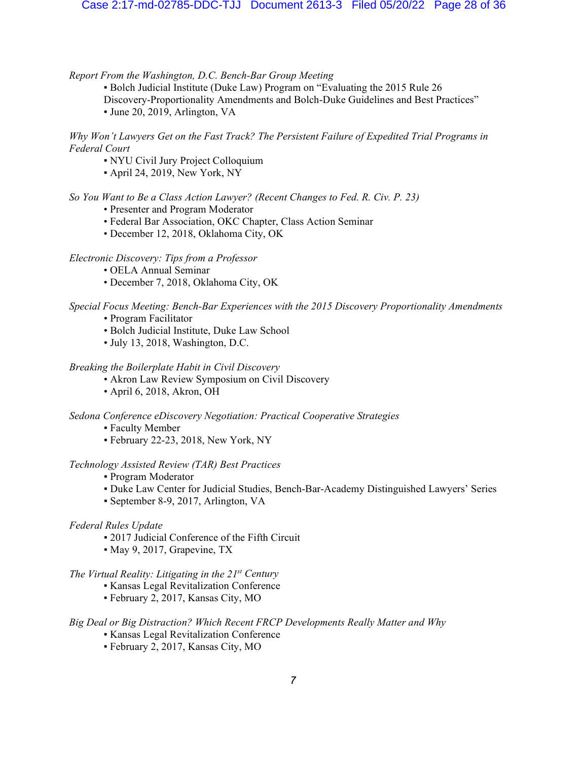*Report From the Washington, D.C. Bench-Bar Group Meeting*

• Bolch Judicial Institute (Duke Law) Program on "Evaluating the 2015 Rule 26 Discovery-Proportionality Amendments and Bolch-Duke Guidelines and Best Practices" ƒ June 20, 2019, Arlington, VA

*Why Won't Lawyers Get on the Fast Track? The Persistent Failure of Expedited Trial Programs in Federal Court*

- NYU Civil Jury Project Colloquium
- ƒ April 24, 2019, New York, NY

*So You Want to Be a Class Action Lawyer? (Recent Changes to Fed. R. Civ. P. 23)*

- Presenter and Program Moderator
- Federal Bar Association, OKC Chapter, Class Action Seminar
- December 12, 2018, Oklahoma City, OK

# *Electronic Discovery: Tips from a Professor*

- OELA Annual Seminar
- December 7, 2018, Oklahoma City, OK

*Special Focus Meeting: Bench-Bar Experiences with the 2015 Discovery Proportionality Amendments*

- Program Facilitator
- Bolch Judicial Institute, Duke Law School
- July 13, 2018, Washington, D.C.

### *Breaking the Boilerplate Habit in Civil Discovery*

- Akron Law Review Symposium on Civil Discovery
- April 6, 2018, Akron, OH

*Sedona Conference eDiscovery Negotiation: Practical Cooperative Strategies*

- ƒFaculty Member
- ƒ February 22-23, 2018, New York, NY

### *Technology Assisted Review (TAR) Best Practices*

- ƒ Program Moderator
- ƒ Duke Law Center for Judicial Studies, Bench-Bar-Academy Distinguished Lawyers' Series
- September 8-9, 2017, Arlington, VA

# *Federal Rules Update*

- 2017 Judicial Conference of the Fifth Circuit
- ƒ May 9, 2017, Grapevine, TX

# *The Virtual Reality: Litigating in the 21st Century*

- ƒ Kansas Legal Revitalization Conference
- ƒ February 2, 2017, Kansas City, MO

# *Big Deal or Big Distraction? Which Recent FRCP Developments Really Matter and Why*

- ƒ Kansas Legal Revitalization Conference
- ƒ February 2, 2017, Kansas City, MO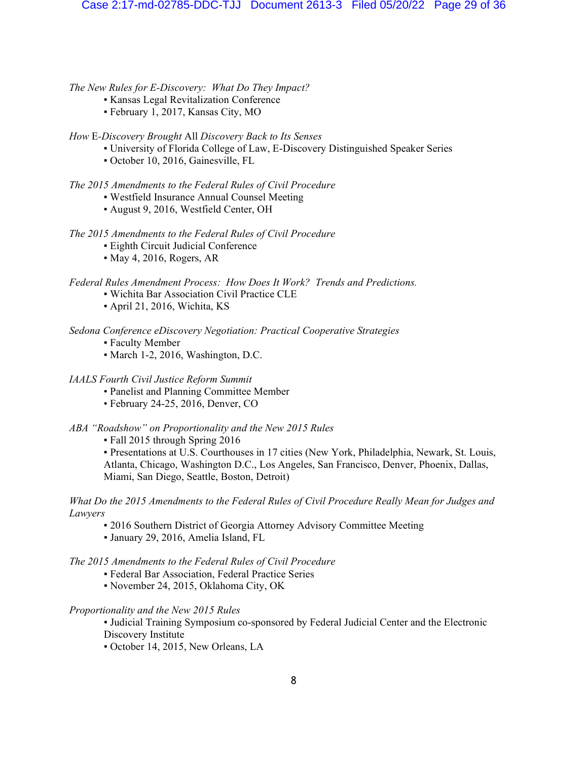*The New Rules for E-Discovery: What Do They Impact?*

- ƒ Kansas Legal Revitalization Conference
- ƒ February 1, 2017, Kansas City, MO

# *How* E*-Discovery Brought* All *Discovery Back to Its Senses*

- ƒ University of Florida College of Law, E-Discovery Distinguished Speaker Series
- ƒ October 10, 2016, Gainesville, FL

# *The 2015 Amendments to the Federal Rules of Civil Procedure*

- Westfield Insurance Annual Counsel Meeting
- August 9, 2016, Westfield Center, OH

# *The 2015 Amendments to the Federal Rules of Civil Procedure*

- **Eighth Circuit Judicial Conference**
- May 4, 2016, Rogers, AR

# *Federal Rules Amendment Process: How Does It Work? Trends and Predictions.*

- ƒ Wichita Bar Association Civil Practice CLE
- ƒ April 21, 2016, Wichita, KS

# *Sedona Conference eDiscovery Negotiation: Practical Cooperative Strategies*

- ƒFaculty Member
- March 1-2, 2016, Washington, D.C.

### *IAALS Fourth Civil Justice Reform Summit*

- Panelist and Planning Committee Member
- February 24-25, 2016, Denver, CO

# *ABA "Roadshow" on Proportionality and the New 2015 Rules*

ƒ Fall 2015 through Spring 2016

ƒ Presentations at U.S. Courthouses in 17 cities (New York, Philadelphia, Newark, St. Louis, Atlanta, Chicago, Washington D.C., Los Angeles, San Francisco, Denver, Phoenix, Dallas, Miami, San Diego, Seattle, Boston, Detroit)

# *What Do the 2015 Amendments to the Federal Rules of Civil Procedure Really Mean for Judges and Lawyers*

- 2016 Southern District of Georgia Attorney Advisory Committee Meeting
- ƒ January 29, 2016, Amelia Island, FL

# *The 2015 Amendments to the Federal Rules of Civil Procedure*

- ƒ Federal Bar Association, Federal Practice Series
- ƒ November 24, 2015, Oklahoma City, OK

# *Proportionality and the New 2015 Rules*

ƒ Judicial Training Symposium co-sponsored by Federal Judicial Center and the Electronic Discovery Institute

ƒ October 14, 2015, New Orleans, LA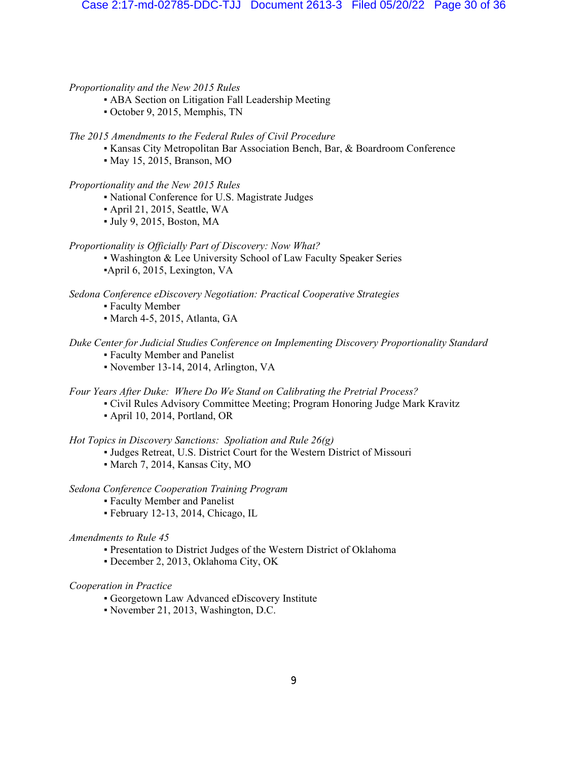# *Proportionality and the New 2015 Rules*

- ABA Section on Litigation Fall Leadership Meeting
- ƒ October 9, 2015, Memphis, TN

# *The 2015 Amendments to the Federal Rules of Civil Procedure*

- ƒ Kansas City Metropolitan Bar Association Bench, Bar, & Boardroom Conference
- $\bullet$  May 15, 2015, Branson, MO

# *Proportionality and the New 2015 Rules*

- National Conference for U.S. Magistrate Judges
- ƒ April 21, 2015, Seattle, WA
- ƒ July 9, 2015, Boston, MA

# *Proportionality is Officially Part of Discovery: Now What?*

ƒ Washington & Lee University School of Law Faculty Speaker Series April 6, 2015, Lexington, VA

*Sedona Conference eDiscovery Negotiation: Practical Cooperative Strategies*

- ƒFaculty Member
- ƒ March 4-5, 2015, Atlanta, GA

# *Duke Center for Judicial Studies Conference on Implementing Discovery Proportionality Standard*

- ƒ Faculty Member and Panelist
- ƒ November 13-14, 2014, Arlington, VA

*Four Years After Duke: Where Do We Stand on Calibrating the Pretrial Process?*

- Civil Rules Advisory Committee Meeting; Program Honoring Judge Mark Kravitz
- ƒ April 10, 2014, Portland, OR

*Hot Topics in Discovery Sanctions: Spoliation and Rule 26(g)*

- ƒ Judges Retreat, U.S. District Court for the Western District of Missouri
- March 7, 2014, Kansas City, MO

*Sedona Conference Cooperation Training Program*

- ƒ Faculty Member and Panelist
- ƒ February 12-13, 2014, Chicago, IL

# *Amendments to Rule 45*

- Presentation to District Judges of the Western District of Oklahoma
- ƒ December 2, 2013, Oklahoma City, OK

# *Cooperation in Practice*

- ƒ Georgetown Law Advanced eDiscovery Institute
- ƒ November 21, 2013, Washington, D.C.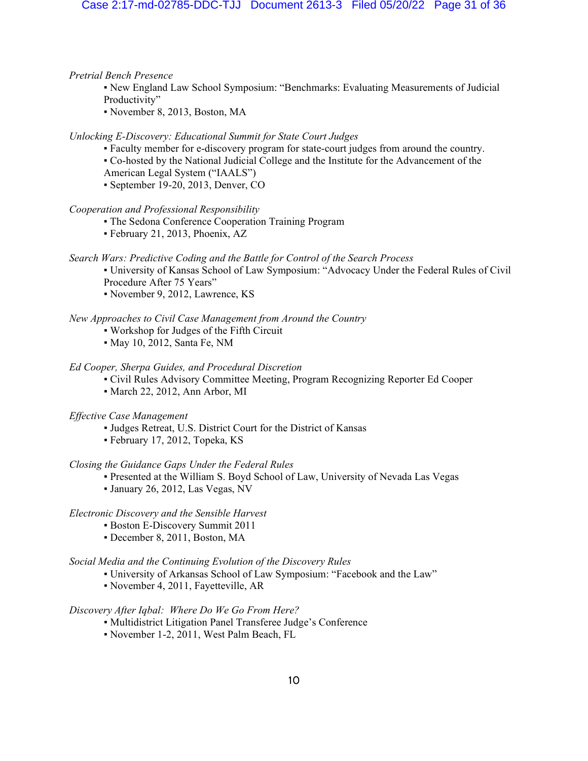# *Pretrial Bench Presence*

- New England Law School Symposium: "Benchmarks: Evaluating Measurements of Judicial Productivity"
- November 8, 2013, Boston, MA

# *Unlocking E-Discovery: Educational Summit for State Court Judges*

- ƒ Faculty member for e-discovery program for state-court judges from around the country.
- ƒ Co-hosted by the National Judicial College and the Institute for the Advancement of the
- American Legal System ("IAALS")
- ƒ September 19-20, 2013, Denver, CO

## *Cooperation and Professional Responsibility*

- The Sedona Conference Cooperation Training Program
- ƒ February 21, 2013, Phoenix, AZ

### *Search Wars: Predictive Coding and the Battle for Control of the Search Process*

- ƒ University of Kansas School of Law Symposium: "Advocacy Under the Federal Rules of Civil Procedure After 75 Years"
- ƒNovember 9, 2012, Lawrence, KS

# *New Approaches to Civil Case Management from Around the Country*

- ƒ Workshop for Judges of the Fifth Circuit
- ƒ May 10, 2012, Santa Fe, NM

# *Ed Cooper, Sherpa Guides, and Procedural Discretion*

- ƒ Civil Rules Advisory Committee Meeting, Program Recognizing Reporter Ed Cooper
- ƒ March 22, 2012, Ann Arbor, MI

### *Effective Case Management*

- ƒJudges Retreat, U.S. District Court for the District of Kansas
- ƒ February 17, 2012, Topeka, KS

### *Closing the Guidance Gaps Under the Federal Rules*

- Presented at the William S. Boyd School of Law, University of Nevada Las Vegas
- ƒ January 26, 2012, Las Vegas, NV

# *Electronic Discovery and the Sensible Harvest*

- ƒBoston E-Discovery Summit 2011
- ƒ December 8, 2011, Boston, MA

# *Social Media and the Continuing Evolution of the Discovery Rules*

- ƒ University of Arkansas School of Law Symposium: "Facebook and the Law"
- ƒ November 4, 2011, Fayetteville, AR

# *Discovery After Iqbal: Where Do We Go From Here?*

- ƒ Multidistrict Litigation Panel Transferee Judge's Conference
- ƒ November 1-2, 2011, West Palm Beach, FL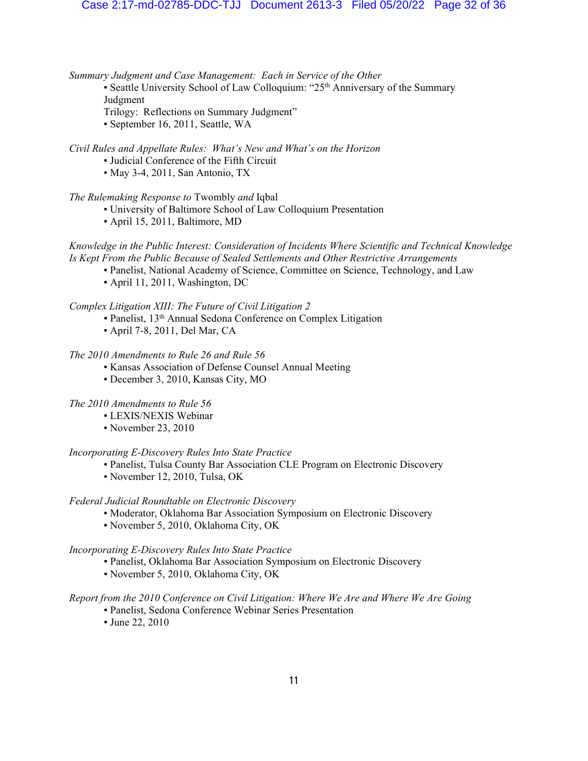*Summary Judgment and Case Management: Each in Service of the Other*

- Seattle University School of Law Colloquium: "25<sup>th</sup> Anniversary of the Summary Judgment
- Trilogy: Reflections on Summary Judgment"
- ƒ September 16, 2011, Seattle, WA

*Civil Rules and Appellate Rules: What's New and What's on the Horizon*

- ƒ Judicial Conference of the Fifth Circuit
- ƒ May 3-4, 2011, San Antonio, TX

# *The Rulemaking Response to* Twombly *and* Iqbal

- ƒ University of Baltimore School of Law Colloquium Presentation
- ƒ April 15, 2011, Baltimore, MD

# *Knowledge in the Public Interest: Consideration of Incidents Where Scientific and Technical Knowledge Is Kept From the Public Because of Sealed Settlements and Other Restrictive Arrangements*

- ƒ Panelist, National Academy of Science, Committee on Science, Technology, and Law
- ƒ April 11, 2011, Washington, DC

# *Complex Litigation XIII: The Future of Civil Litigation 2*

- Panelist, 13<sup>th</sup> Annual Sedona Conference on Complex Litigation
- ƒ April 7-8, 2011, Del Mar, CA

# *The 2010 Amendments to Rule 26 and Rule 56*

- ƒ Kansas Association of Defense Counsel Annual Meeting
- December 3, 2010, Kansas City, MO

# *The 2010 Amendments to Rule 56*

- ƒ LEXIS/NEXIS Webinar
- November 23, 2010

# *Incorporating E-Discovery Rules Into State Practice*

- Panelist, Tulsa County Bar Association CLE Program on Electronic Discovery
- ƒ November 12, 2010, Tulsa, OK

# *Federal Judicial Roundtable on Electronic Discovery*

- Moderator, Oklahoma Bar Association Symposium on Electronic Discovery
- ƒ November 5, 2010, Oklahoma City, OK

# *Incorporating E-Discovery Rules Into State Practice*

- Panelist, Oklahoma Bar Association Symposium on Electronic Discovery
- ƒ November 5, 2010, Oklahoma City, OK

# *Report from the 2010 Conference on Civil Litigation: Where We Are and Where We Are Going*

- ƒ Panelist, Sedona Conference Webinar Series Presentation
- ƒ June 22, 2010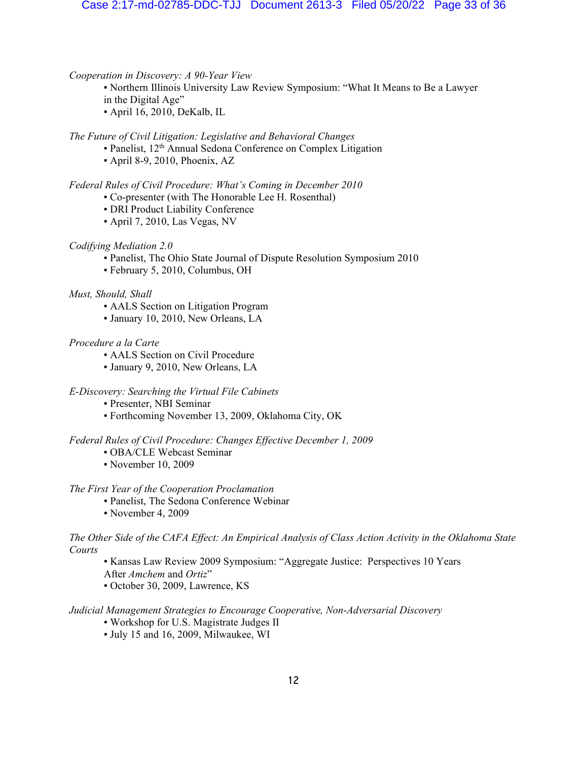# *Cooperation in Discovery: A 90-Year View*

- ƒ Northern Illinois University Law Review Symposium: "What It Means to Be a Lawyer in the Digital Age"
- ƒ April 16, 2010, DeKalb, IL

# *The Future of Civil Litigation: Legislative and Behavioral Changes*

- Panelist, 12<sup>th</sup> Annual Sedona Conference on Complex Litigation
- ƒApril 8-9, 2010, Phoenix, AZ

# *Federal Rules of Civil Procedure: What's Coming in December 2010*

- Co-presenter (with The Honorable Lee H. Rosenthal)
- **DRI Product Liability Conference**
- ƒ April 7, 2010, Las Vegas, NV

# *Codifying Mediation 2.0*

- ƒ Panelist, The Ohio State Journal of Dispute Resolution Symposium 2010
- ƒ February 5, 2010, Columbus, OH

# *Must, Should, Shall*

- AALS Section on Litigation Program
- ƒ January 10, 2010, New Orleans, LA

# *Procedure a la Carte*

- **AALS** Section on Civil Procedure
- ƒ January 9, 2010, New Orleans, LA

# *E-Discovery: Searching the Virtual File Cabinets*

- ƒ Presenter, NBI Seminar
- ƒ Forthcoming November 13, 2009, Oklahoma City, OK

# *Federal Rules of Civil Procedure: Changes Effective December 1, 2009*

- ƒ OBA/CLE Webcast Seminar
- ƒ November 10, 2009

# *The First Year of the Cooperation Proclamation*

- ƒ Panelist, The Sedona Conference Webinar
- ƒ November 4, 2009

# *The Other Side of the CAFA Effect: An Empirical Analysis of Class Action Activity in the Oklahoma State Courts*

- ƒ Kansas Law Review 2009 Symposium: "Aggregate Justice: Perspectives 10 Years After *Amchem* and *Ortiz*"
- ƒ October 30, 2009, Lawrence, KS

# *Judicial Management Strategies to Encourage Cooperative, Non-Adversarial Discovery*

- ƒ Workshop for U.S. Magistrate Judges II
- ƒ July 15 and 16, 2009, Milwaukee, WI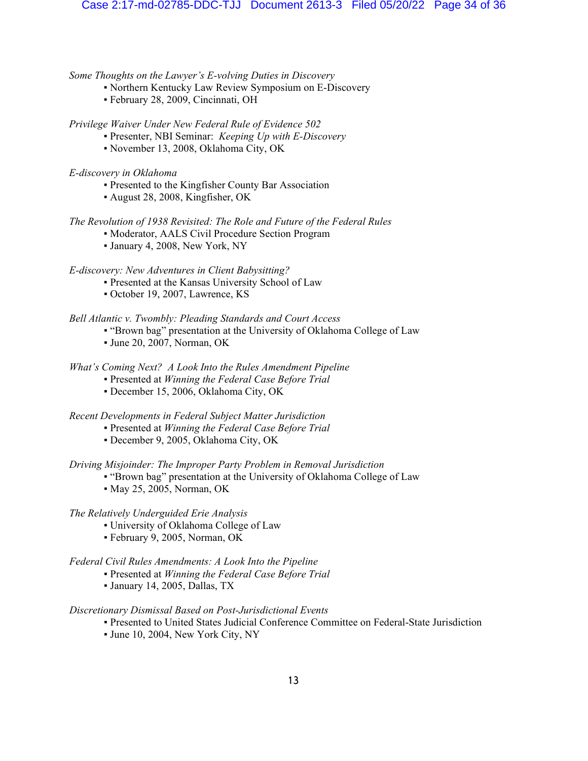# *Some Thoughts on the Lawyer's E-volving Duties in Discovery*

- Northern Kentucky Law Review Symposium on E-Discovery
- ƒ February 28, 2009, Cincinnati, OH

*Privilege Waiver Under New Federal Rule of Evidence 502*

- ƒ Presenter, NBI Seminar: *Keeping Up with E-Discovery*
- ƒ November 13, 2008, Oklahoma City, OK

*E-discovery in Oklahoma*

- ƒ Presented to the Kingfisher County Bar Association
- ƒ August 28, 2008, Kingfisher, OK

# *The Revolution of 1938 Revisited: The Role and Future of the Federal Rules*

- Moderator, AALS Civil Procedure Section Program
- ƒ January 4, 2008, New York, NY

*E-discovery: New Adventures in Client Babysitting?*

- Presented at the Kansas University School of Law
	- ƒ October 19, 2007, Lawrence, KS

# *Bell Atlantic v. Twombly: Pleading Standards and Court Access*

- ƒ "Brown bag" presentation at the University of Oklahoma College of Law
- ƒ June 20, 2007, Norman, OK

# *What's Coming Next? A Look Into the Rules Amendment Pipeline*

- ƒ Presented at *Winning the Federal Case Before Trial*
- ƒ December 15, 2006, Oklahoma City, OK

*Recent Developments in Federal Subject Matter Jurisdiction*

- ƒ Presented at *Winning the Federal Case Before Trial*
- ƒ December 9, 2005, Oklahoma City, OK

*Driving Misjoinder: The Improper Party Problem in Removal Jurisdiction*

- "Brown bag" presentation at the University of Oklahoma College of Law
- May 25, 2005, Norman, OK

# *The Relatively Underguided Erie Analysis*

- University of Oklahoma College of Law
- ƒ February 9, 2005, Norman, OK

# *Federal Civil Rules Amendments: A Look Into the Pipeline*

- ƒ Presented at *Winning the Federal Case Before Trial*
- ƒ January 14, 2005, Dallas, TX

# *Discretionary Dismissal Based on Post-Jurisdictional Events*

- ƒ Presented to United States Judicial Conference Committee on Federal-State Jurisdiction
- ƒ June 10, 2004, New York City, NY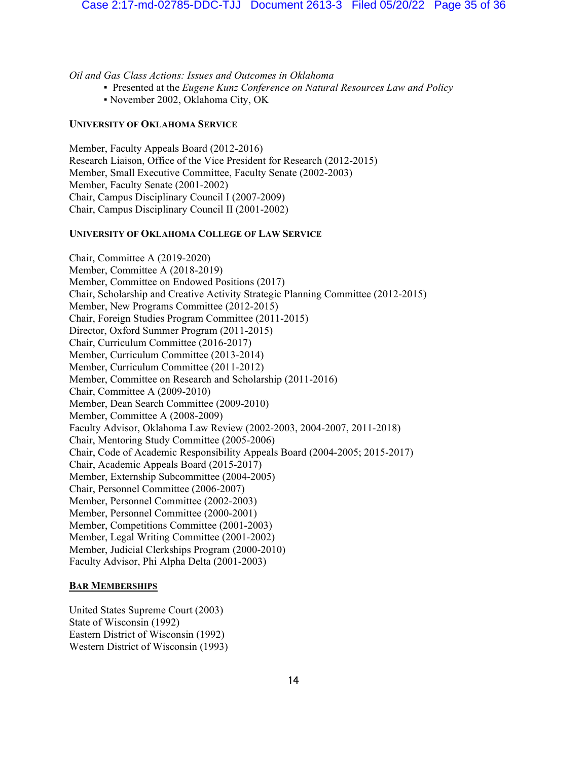*Oil and Gas Class Actions: Issues and Outcomes in Oklahoma*

- ƒ Presented at the *Eugene Kunz Conference on Natural Resources Law and Policy*
- ƒ November 2002, Oklahoma City, OK

### **UNIVERSITY OF OKLAHOMA SERVICE**

Member, Faculty Appeals Board (2012-2016) Research Liaison, Office of the Vice President for Research (2012-2015) Member, Small Executive Committee, Faculty Senate (2002-2003) Member, Faculty Senate (2001-2002) Chair, Campus Disciplinary Council I (2007-2009) Chair, Campus Disciplinary Council II (2001-2002)

# **UNIVERSITY OF OKLAHOMA COLLEGE OF LAW SERVICE**

Chair, Committee A (2019-2020) Member, Committee A (2018-2019) Member, Committee on Endowed Positions (2017) Chair, Scholarship and Creative Activity Strategic Planning Committee (2012-2015) Member, New Programs Committee (2012-2015) Chair, Foreign Studies Program Committee (2011-2015) Director, Oxford Summer Program (2011-2015) Chair, Curriculum Committee (2016-2017) Member, Curriculum Committee (2013-2014) Member, Curriculum Committee (2011-2012) Member, Committee on Research and Scholarship (2011-2016) Chair, Committee A (2009-2010) Member, Dean Search Committee (2009-2010) Member, Committee A (2008-2009) Faculty Advisor, Oklahoma Law Review (2002-2003, 2004-2007, 2011-2018) Chair, Mentoring Study Committee (2005-2006) Chair, Code of Academic Responsibility Appeals Board (2004-2005; 2015-2017) Chair, Academic Appeals Board (2015-2017) Member, Externship Subcommittee (2004-2005) Chair, Personnel Committee (2006-2007) Member, Personnel Committee (2002-2003) Member, Personnel Committee (2000-2001) Member, Competitions Committee (2001-2003) Member, Legal Writing Committee (2001-2002) Member, Judicial Clerkships Program (2000-2010) Faculty Advisor, Phi Alpha Delta (2001-2003)

# **BAR MEMBERSHIPS**

United States Supreme Court (2003) State of Wisconsin (1992) Eastern District of Wisconsin (1992) Western District of Wisconsin (1993)